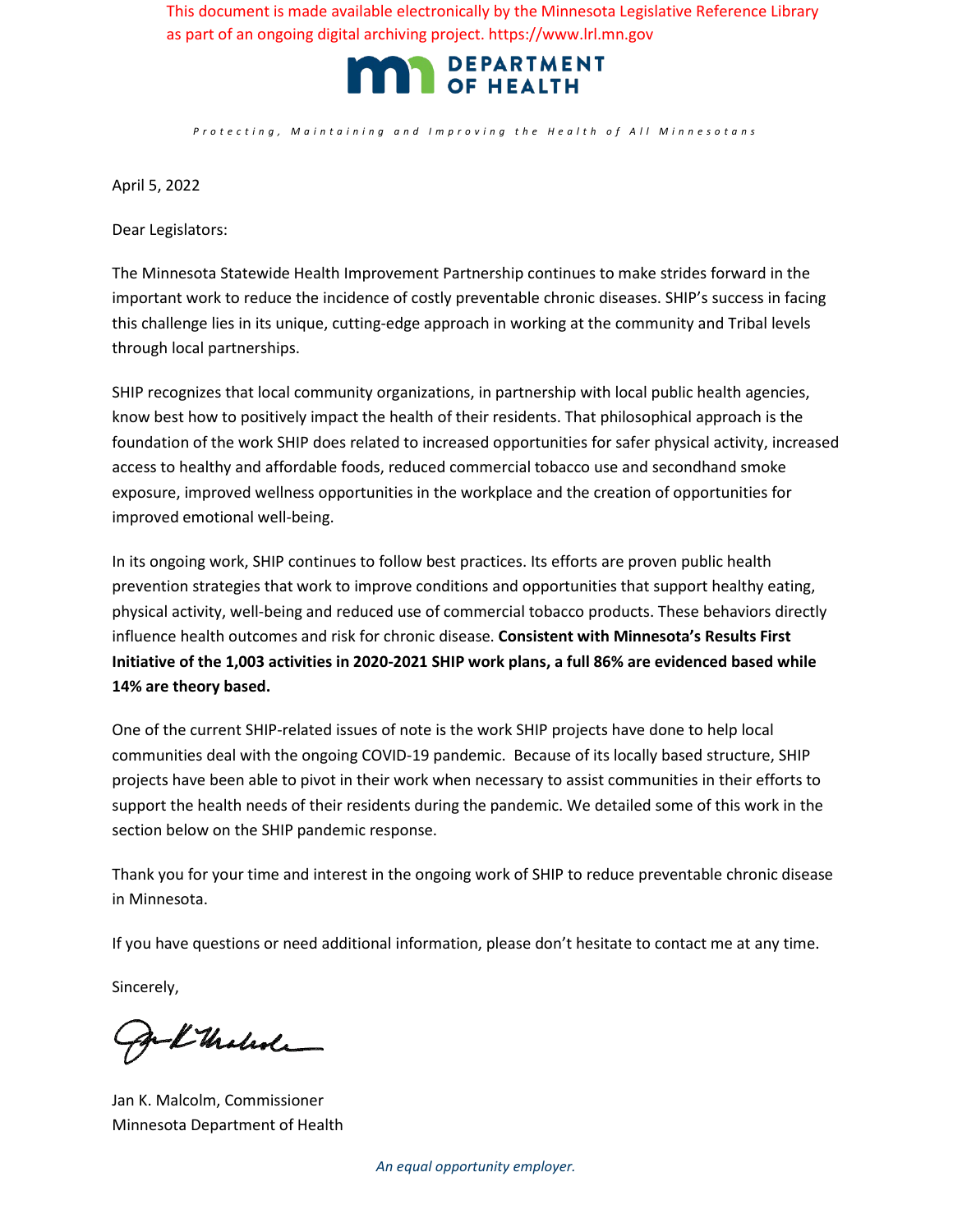This document is made available electronically by the Minnesota Legislative Reference Library as part of an ongoing digital archiving project. https://www.lrl.mn.gov



*Protecting, Maintaining and Improving the Health o f All Minnesotan s*

April 5, 2022

Dear Legislators:

The Minnesota Statewide Health Improvement Partnership continues to make strides forward in the important work to reduce the incidence of costly preventable chronic diseases. SHIP's success in facing this challenge lies in its unique, cutting-edge approach in working at the community and Tribal levels through local partnerships.

SHIP recognizes that local community organizations, in partnership with local public health agencies, know best how to positively impact the health of their residents. That philosophical approach is the foundation of the work SHIP does related to increased opportunities for safer physical activity, increased access to healthy and affordable foods, reduced commercial tobacco use and secondhand smoke exposure, improved wellness opportunities in the workplace and the creation of opportunities for improved emotional well-being.

In its ongoing work, SHIP continues to follow best practices. Its efforts are proven public health prevention strategies that work to improve conditions and opportunities that support healthy eating, physical activity, well-being and reduced use of commercial tobacco products. These behaviors directly influence health outcomes and risk for chronic disease. **Consistent with Minnesota's Results First Initiative of the 1,003 activities in 2020-2021 SHIP work plans, a full 86% are evidenced based while 14% are theory based.**

One of the current SHIP-related issues of note is the work SHIP projects have done to help local communities deal with the ongoing COVID-19 pandemic. Because of its locally based structure, SHIP projects have been able to pivot in their work when necessary to assist communities in their efforts to support the health needs of their residents during the pandemic. We detailed some of this work in the section below on the SHIP pandemic response.

Thank you for your time and interest in the ongoing work of SHIP to reduce preventable chronic disease in Minnesota.

If you have questions or need additional information, please don't hesitate to contact me at any time.

Sincerely,

Je Kindede

Jan K. Malcolm, Commissioner Minnesota Department of Health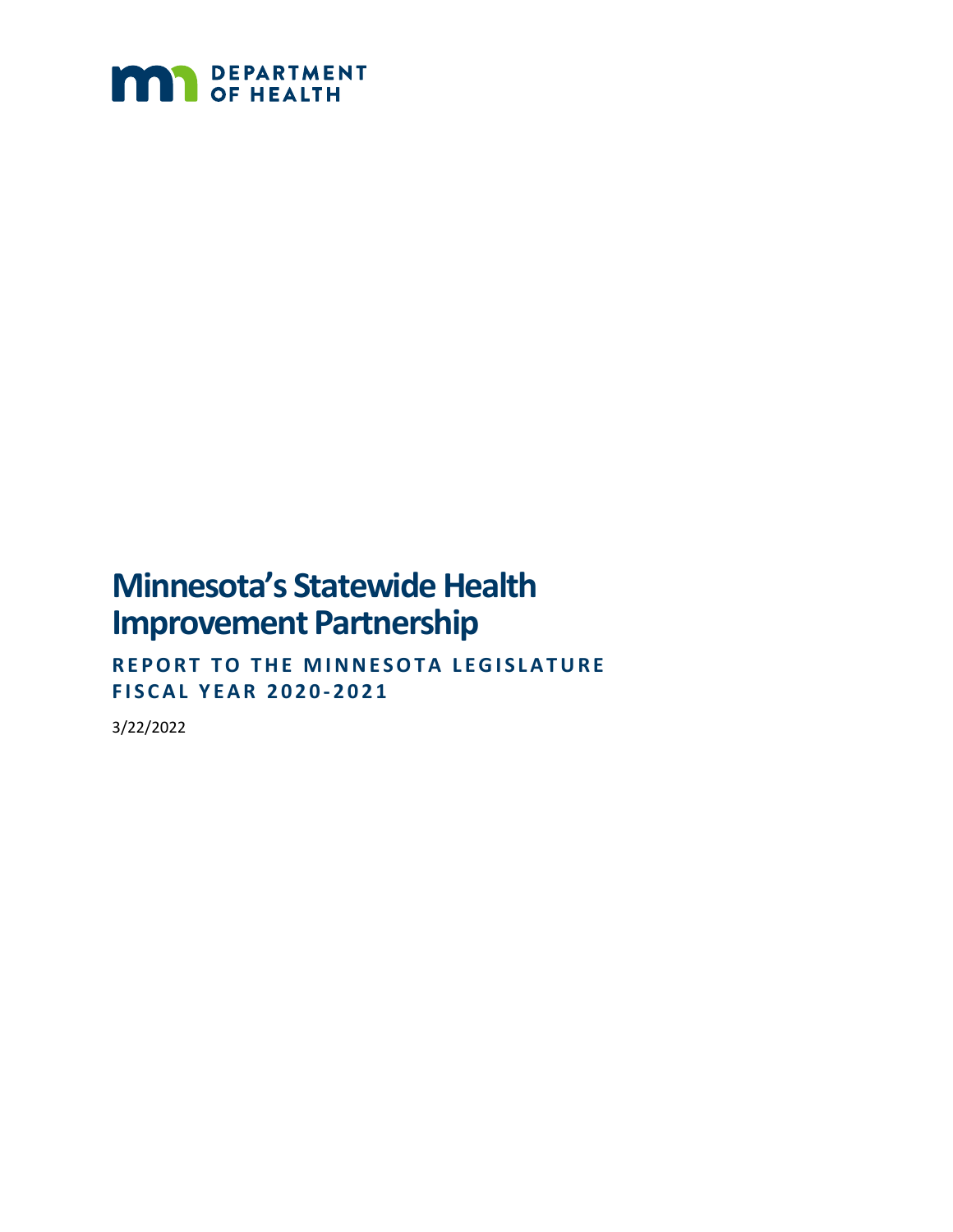

# **Minnesota's Statewide Health Improvement Partnership**

**REPORT TO THE MINNESOTA LEGISLATURE FISCAL YEAR 2020 - 2021**

3/22/2022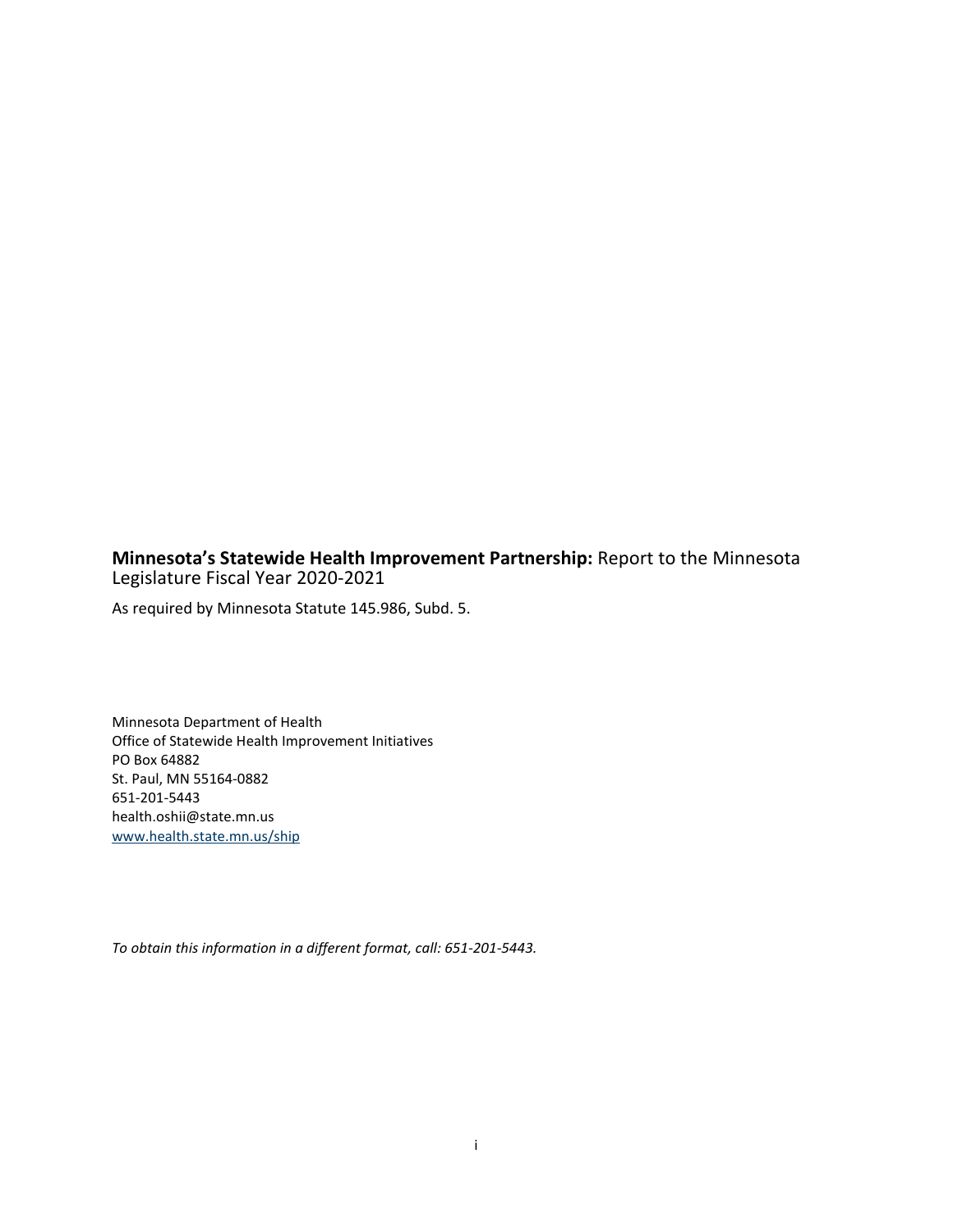### **Minnesota's Statewide Health Improvement Partnership:** Report to the Minnesota Legislature Fiscal Year 2020-2021

As required by Minnesota Statute 145.986, Subd. 5.

Minnesota Department of Health Office of Statewide Health Improvement Initiatives PO Box 64882 St. Paul, MN 55164-0882 651-201-5443 health.oshii@state.mn.us www.health.state.mn.us/ship

*To obtain this information in a different format, call: 651-201-5443.*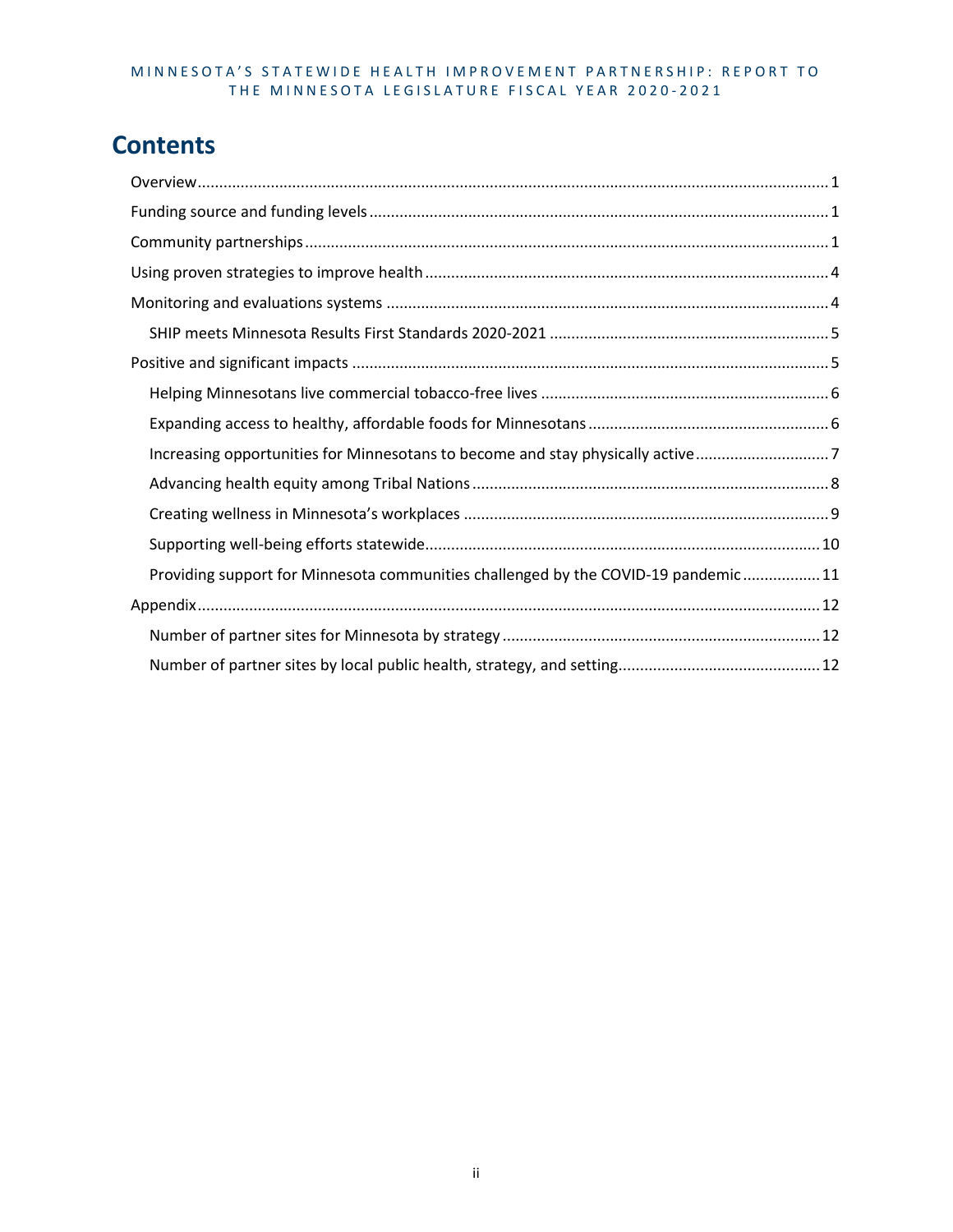# **Contents**

| Increasing opportunities for Minnesotans to become and stay physically active7    |
|-----------------------------------------------------------------------------------|
|                                                                                   |
|                                                                                   |
|                                                                                   |
| Providing support for Minnesota communities challenged by the COVID-19 pandemic11 |
|                                                                                   |
|                                                                                   |
|                                                                                   |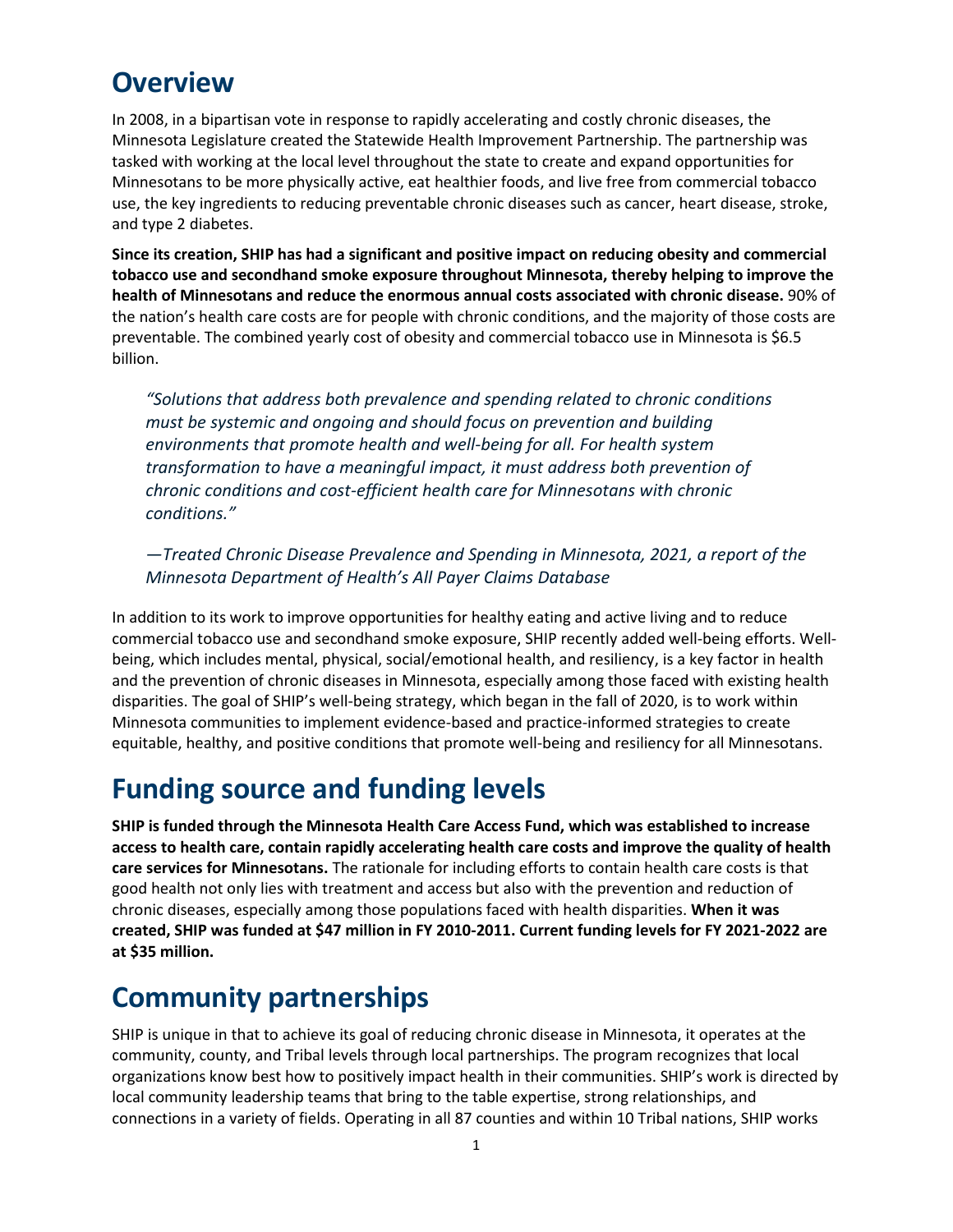# <span id="page-4-0"></span>**Overview**

In 2008, in a bipartisan vote in response to rapidly accelerating and costly chronic diseases, the Minnesota Legislature created the Statewide Health Improvement Partnership. The partnership was tasked with working at the local level throughout the state to create and expand opportunities for Minnesotans to be more physically active, eat healthier foods, and live free from commercial tobacco use, the key ingredients to reducing preventable chronic diseases such as cancer, heart disease, stroke, and type 2 diabetes.

**Since its creation, SHIP has had a significant and positive impact on reducing obesity and commercial tobacco use and secondhand smoke exposure throughout Minnesota, thereby helping to improve the health of Minnesotans and reduce the enormous annual costs associated with chronic disease.** 90% of the nation's health care costs are for people with chronic conditions, and the majority of those costs are preventable. The combined yearly cost of obesity and commercial tobacco use in Minnesota is \$6.5 billion.

*"Solutions that address both prevalence and spending related to chronic conditions must be systemic and ongoing and should focus on prevention and building environments that promote health and well-being for all. For health system transformation to have a meaningful impact, it must address both prevention of chronic conditions and cost-efficient health care for Minnesotans with chronic conditions."* 

*—Treated Chronic Disease Prevalence and Spending in Minnesota, 2021, a report of the Minnesota Department of Health's All Payer Claims Database*

In addition to its work to improve opportunities for healthy eating and active living and to reduce commercial tobacco use and secondhand smoke exposure, SHIP recently added well-being efforts. Wellbeing, which includes mental, physical, social/emotional health, and resiliency, is a key factor in health and the prevention of chronic diseases in Minnesota, especially among those faced with existing health disparities. The goal of SHIP's well-being strategy, which began in the fall of 2020, is to work within Minnesota communities to implement evidence-based and practice-informed strategies to create equitable, healthy, and positive conditions that promote well-being and resiliency for all Minnesotans.

# <span id="page-4-1"></span>**Funding source and funding levels**

**SHIP is funded through the Minnesota Health Care Access Fund, which was established to increase access to health care, contain rapidly accelerating health care costs and improve the quality of health care services for Minnesotans.** The rationale for including efforts to contain health care costs is that good health not only lies with treatment and access but also with the prevention and reduction of chronic diseases, especially among those populations faced with health disparities. **When it was created, SHIP was funded at \$47 million in FY 2010-2011. Current funding levels for FY 2021-2022 are at \$35 million.**

# <span id="page-4-2"></span>**Community partnerships**

SHIP is unique in that to achieve its goal of reducing chronic disease in Minnesota, it operates at the community, county, and Tribal levels through local partnerships. The program recognizes that local organizations know best how to positively impact health in their communities. SHIP's work is directed by local community leadership teams that bring to the table expertise, strong relationships, and connections in a variety of fields. Operating in all 87 counties and within 10 Tribal nations, SHIP works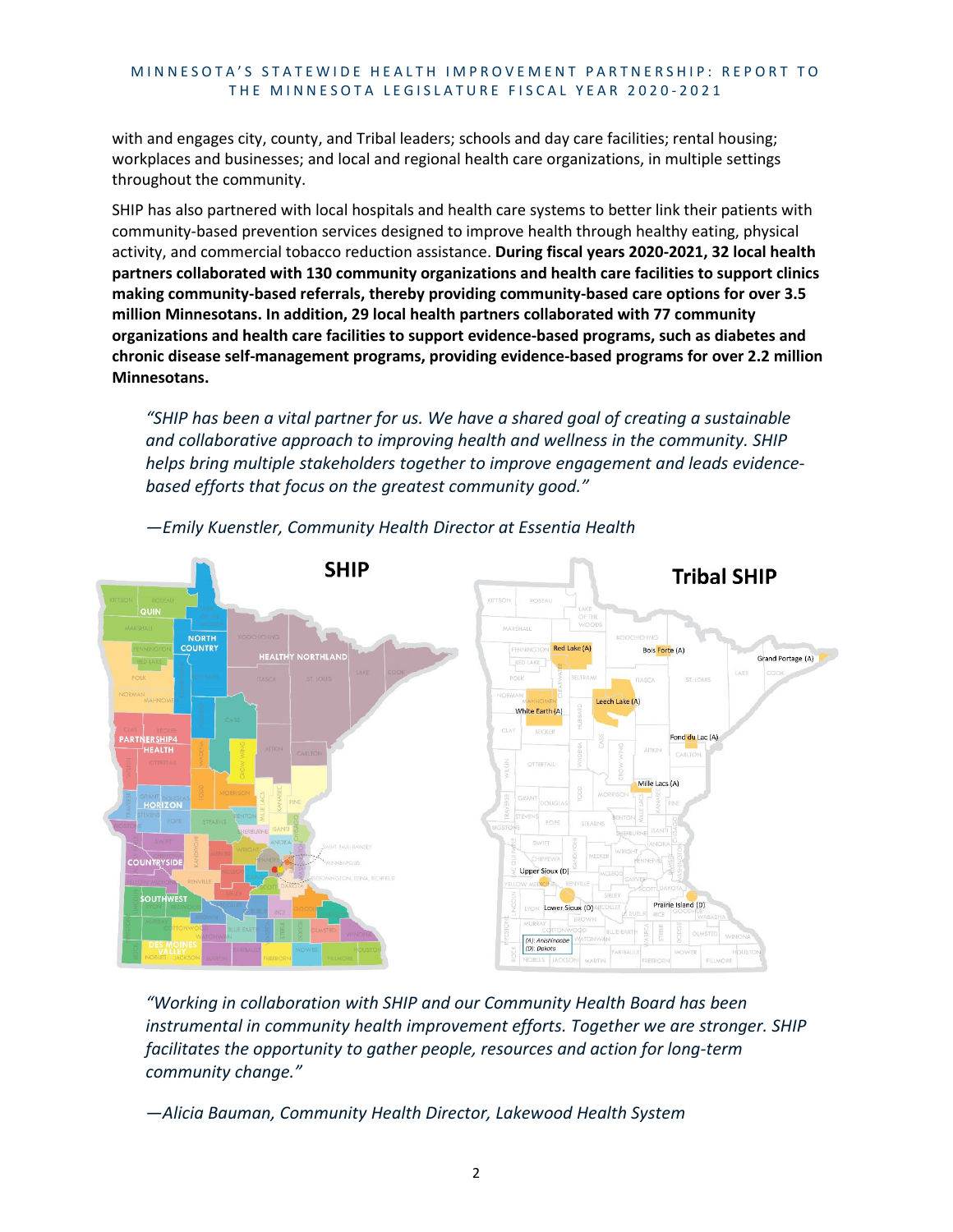with and engages city, county, and Tribal leaders; schools and day care facilities; rental housing; workplaces and businesses; and local and regional health care organizations, in multiple settings throughout the community.

SHIP has also partnered with local hospitals and health care systems to better link their patients with community-based prevention services designed to improve health through healthy eating, physical activity, and commercial tobacco reduction assistance. **During fiscal years 2020-2021, 32 local health partners collaborated with 130 community organizations and health care facilities to support clinics making community-based referrals, thereby providing community-based care options for over 3.5 million Minnesotans. In addition, 29 local health partners collaborated with 77 community organizations and health care facilities to support evidence-based programs, such as diabetes and chronic disease self-management programs, providing evidence-based programs for over 2.2 million Minnesotans.**

*"SHIP has been a vital partner for us. We have a shared goal of creating a sustainable and collaborative approach to improving health and wellness in the community. SHIP helps bring multiple stakeholders together to improve engagement and leads evidencebased efforts that focus on the greatest community good."* 



*—Emily Kuenstler, Community Health Director at Essentia Health*

*"Working in collaboration with SHIP and our Community Health Board has been instrumental in community health improvement efforts. Together we are stronger. SHIP facilitates the opportunity to gather people, resources and action for long-term community change."* 

*—Alicia Bauman, Community Health Director, Lakewood Health System*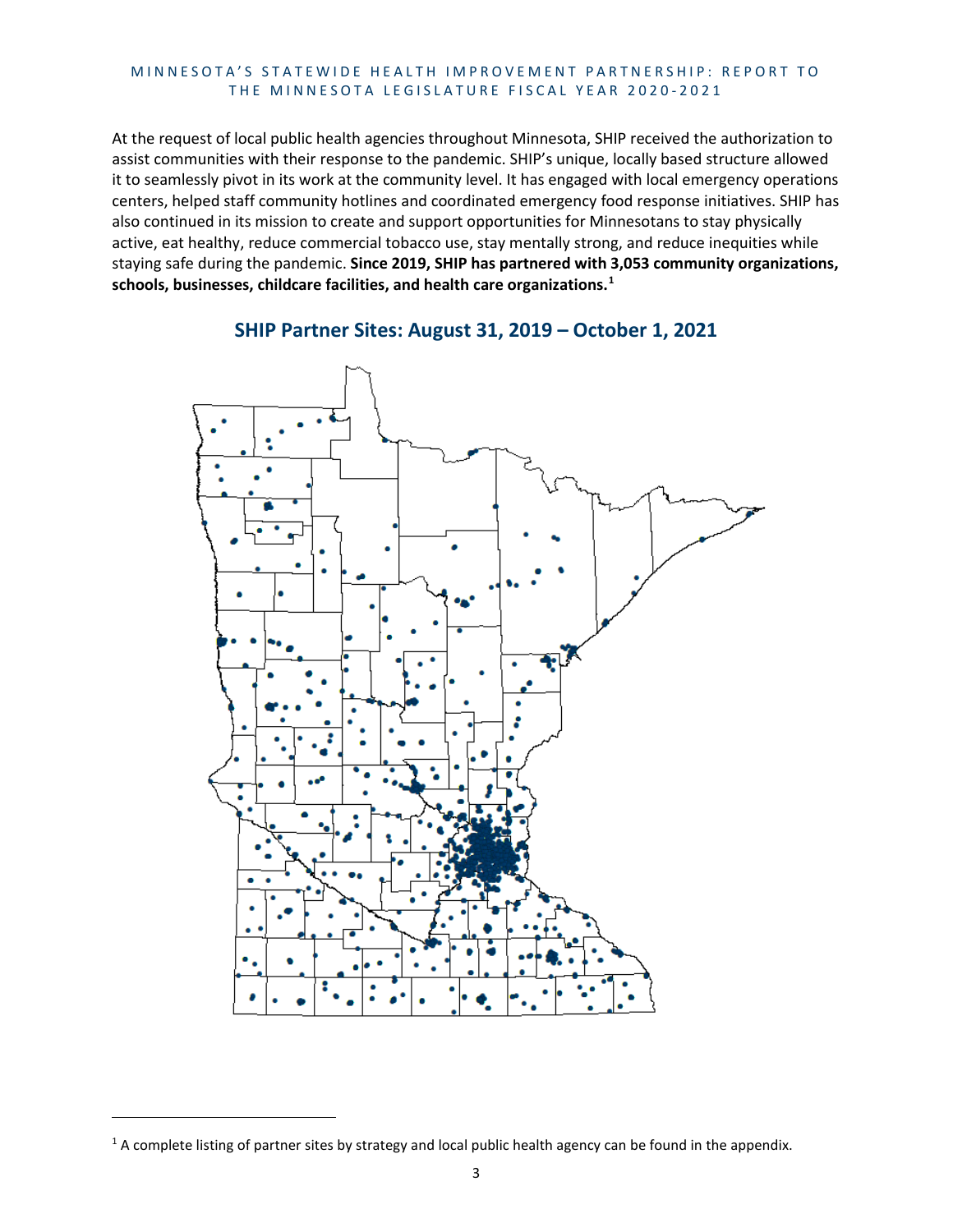At the request of local public health agencies throughout Minnesota, SHIP received the authorization to assist communities with their response to the pandemic. SHIP's unique, locally based structure allowed it to seamlessly pivot in its work at the community level. It has engaged with local emergency operations centers, helped staff community hotlines and coordinated emergency food response initiatives. SHIP has also continued in its mission to create and support opportunities for Minnesotans to stay physically active, eat healthy, reduce commercial tobacco use, stay mentally strong, and reduce inequities while staying safe during the pandemic. **Since 2019, SHIP has partnered with 3,053 community organizations, schools, businesses, childcare facilities, and health care organizations.[1](#page-6-0)**



#### **SHIP Partner Sites: August 31, 2019 – October 1, 2021**

<span id="page-6-0"></span> $1$  A complete listing of partner sites by strategy and local public health agency can be found in the appendix.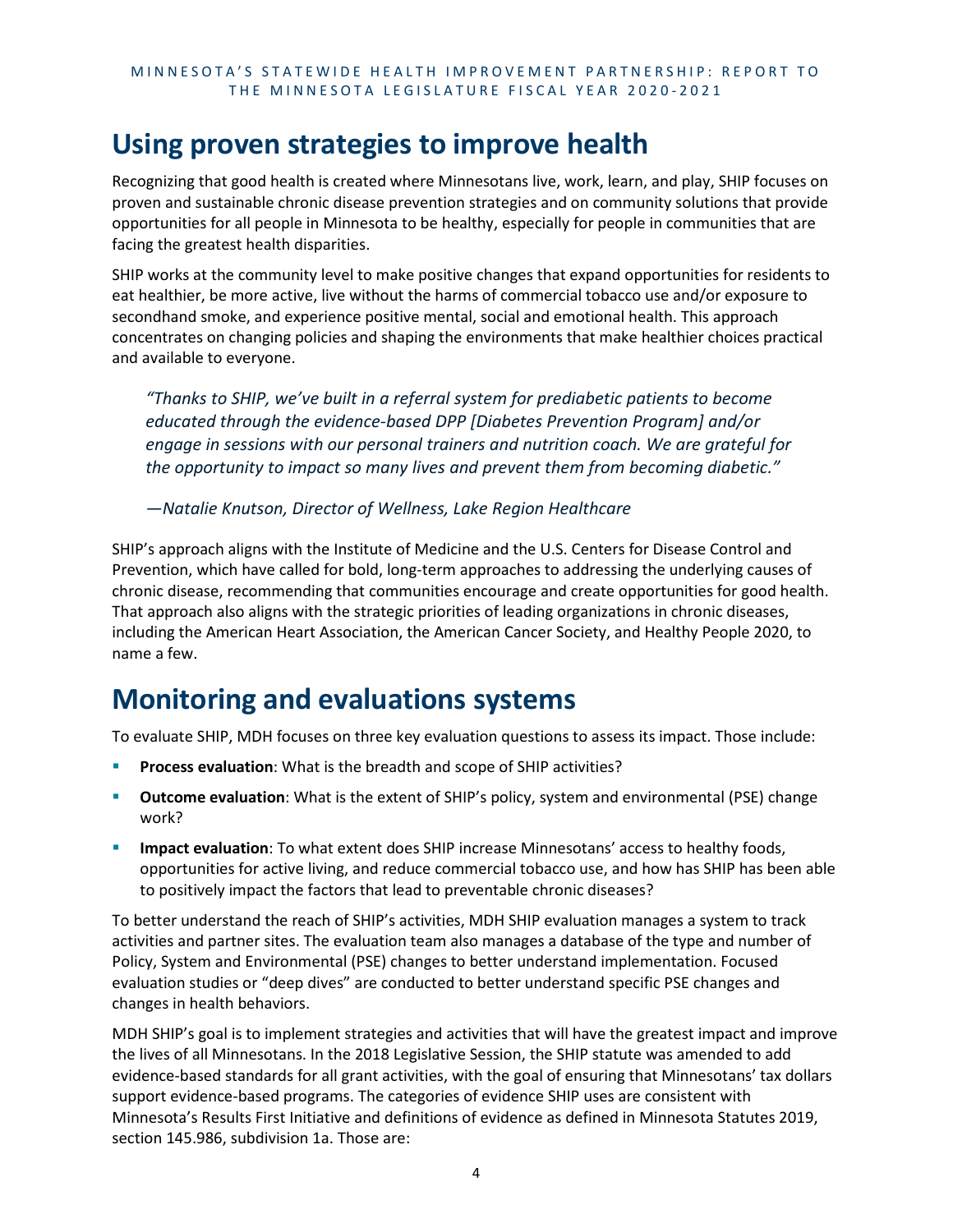# <span id="page-7-0"></span>**Using proven strategies to improve health**

Recognizing that good health is created where Minnesotans live, work, learn, and play, SHIP focuses on proven and sustainable chronic disease prevention strategies and on community solutions that provide opportunities for all people in Minnesota to be healthy, especially for people in communities that are facing the greatest health disparities.

SHIP works at the community level to make positive changes that expand opportunities for residents to eat healthier, be more active, live without the harms of commercial tobacco use and/or exposure to secondhand smoke, and experience positive mental, social and emotional health. This approach concentrates on changing policies and shaping the environments that make healthier choices practical and available to everyone.

*"Thanks to SHIP, we've built in a referral system for prediabetic patients to become educated through the evidence-based DPP [Diabetes Prevention Program] and/or engage in sessions with our personal trainers and nutrition coach. We are grateful for the opportunity to impact so many lives and prevent them from becoming diabetic."* 

*—Natalie Knutson, Director of Wellness, Lake Region Healthcare*

SHIP's approach aligns with the Institute of Medicine and the U.S. Centers for Disease Control and Prevention, which have called for bold, long-term approaches to addressing the underlying causes of chronic disease, recommending that communities encourage and create opportunities for good health. That approach also aligns with the strategic priorities of leading organizations in chronic diseases, including the American Heart Association, the American Cancer Society, and Healthy People 2020, to name a few.

# <span id="page-7-1"></span>**Monitoring and evaluations systems**

To evaluate SHIP, MDH focuses on three key evaluation questions to assess its impact. Those include:

- **Process evaluation**: What is the breadth and scope of SHIP activities?
- **Outcome evaluation**: What is the extent of SHIP's policy, system and environmental (PSE) change work?
- **Impact evaluation**: To what extent does SHIP increase Minnesotans' access to healthy foods, opportunities for active living, and reduce commercial tobacco use, and how has SHIP has been able to positively impact the factors that lead to preventable chronic diseases?

To better understand the reach of SHIP's activities, MDH SHIP evaluation manages a system to track activities and partner sites. The evaluation team also manages a database of the type and number of Policy, System and Environmental (PSE) changes to better understand implementation. Focused evaluation studies or "deep dives" are conducted to better understand specific PSE changes and changes in health behaviors.

MDH SHIP's goal is to implement strategies and activities that will have the greatest impact and improve the lives of all Minnesotans. In the 2018 Legislative Session, the SHIP statute was amended to add evidence-based standards for all grant activities, with the goal of ensuring that Minnesotans' tax dollars support evidence-based programs. The categories of evidence SHIP uses are consistent with Minnesota's Results First Initiative and definitions of evidence as defined in Minnesota Statutes 2019, section 145.986, subdivision 1a. Those are: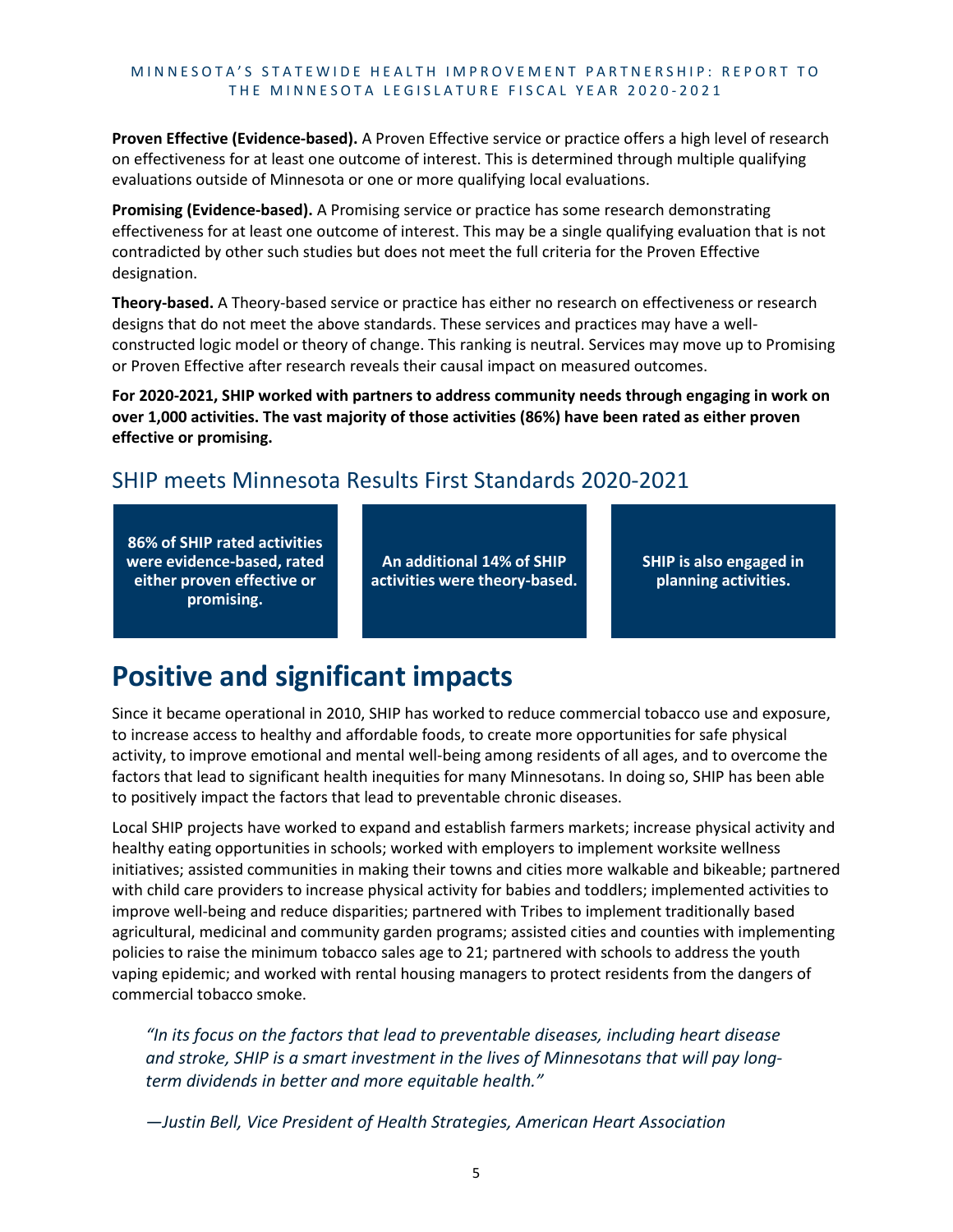**Proven Effective (Evidence-based).** A Proven Effective service or practice offers a high level of research on effectiveness for at least one outcome of interest. This is determined through multiple qualifying evaluations outside of Minnesota or one or more qualifying local evaluations.

**Promising (Evidence-based).** A Promising service or practice has some research demonstrating effectiveness for at least one outcome of interest. This may be a single qualifying evaluation that is not contradicted by other such studies but does not meet the full criteria for the Proven Effective designation.

**Theory-based.** A Theory-based service or practice has either no research on effectiveness or research designs that do not meet the above standards. These services and practices may have a wellconstructed logic model or theory of change. This ranking is neutral. Services may move up to Promising or Proven Effective after research reveals their causal impact on measured outcomes.

**For 2020-2021, SHIP worked with partners to address community needs through engaging in work on over 1,000 activities. The vast majority of those activities (86%) have been rated as either proven effective or promising.**

# <span id="page-8-0"></span>SHIP meets Minnesota Results First Standards 2020-2021

**86% of SHIP rated activities were evidence-based, rated either proven effective or promising.**

**An additional 14% of SHIP activities were theory-based.** **SHIP is also engaged in planning activities.**

# <span id="page-8-1"></span>**Positive and significant impacts**

Since it became operational in 2010, SHIP has worked to reduce commercial tobacco use and exposure, to increase access to healthy and affordable foods, to create more opportunities for safe physical activity, to improve emotional and mental well-being among residents of all ages, and to overcome the factors that lead to significant health inequities for many Minnesotans. In doing so, SHIP has been able to positively impact the factors that lead to preventable chronic diseases.

Local SHIP projects have worked to expand and establish farmers markets; increase physical activity and healthy eating opportunities in schools; worked with employers to implement worksite wellness initiatives; assisted communities in making their towns and cities more walkable and bikeable; partnered with child care providers to increase physical activity for babies and toddlers; implemented activities to improve well-being and reduce disparities; partnered with Tribes to implement traditionally based agricultural, medicinal and community garden programs; assisted cities and counties with implementing policies to raise the minimum tobacco sales age to 21; partnered with schools to address the youth vaping epidemic; and worked with rental housing managers to protect residents from the dangers of commercial tobacco smoke.

*"In its focus on the factors that lead to preventable diseases, including heart disease and stroke, SHIP is a smart investment in the lives of Minnesotans that will pay longterm dividends in better and more equitable health."* 

*—Justin Bell, Vice President of Health Strategies, American Heart Association*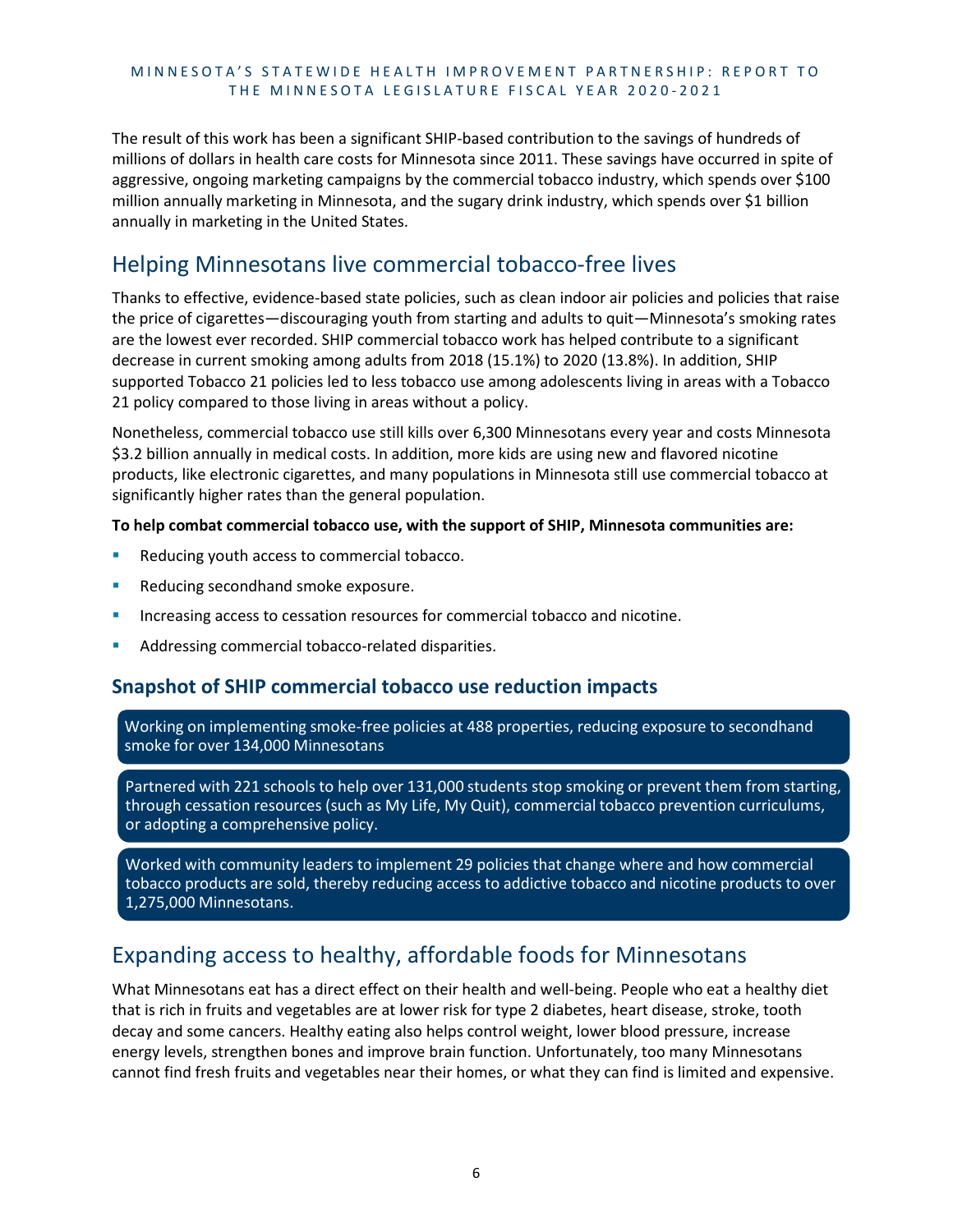The result of this work has been a significant SHIP-based contribution to the savings of hundreds of millions of dollars in health care costs for Minnesota since 2011. These savings have occurred in spite of aggressive, ongoing marketing campaigns by the commercial tobacco industry, which spends over \$100 million annually marketing in Minnesota, and the sugary drink industry, which spends over \$1 billion annually in marketing in the United States.

# <span id="page-9-0"></span>Helping Minnesotans live commercial tobacco-free lives

Thanks to effective, evidence-based state policies, such as clean indoor air policies and policies that raise the price of cigarettes—discouraging youth from starting and adults to quit—Minnesota's smoking rates are the lowest ever recorded. SHIP commercial tobacco work has helped contribute to a significant decrease in current smoking among adults from 2018 (15.1%) to 2020 (13.8%). In addition, SHIP supported Tobacco 21 policies led to less tobacco use among adolescents living in areas with a Tobacco 21 policy compared to those living in areas without a policy.

Nonetheless, commercial tobacco use still kills over 6,300 Minnesotans every year and costs Minnesota \$3.2 billion annually in medical costs. In addition, more kids are using new and flavored nicotine products, like electronic cigarettes, and many populations in Minnesota still use commercial tobacco at significantly higher rates than the general population.

#### **To help combat commercial tobacco use, with the support of SHIP, Minnesota communities are:**

- Reducing youth access to commercial tobacco.
- Reducing secondhand smoke exposure.
- Increasing access to cessation resources for commercial tobacco and nicotine.
- Addressing commercial tobacco-related disparities.

### **Snapshot of SHIP commercial tobacco use reduction impacts**

Working on implementing smoke-free policies at 488 properties, reducing exposure to secondhand smoke for over 134,000 Minnesotans

Partnered with 221 schools to help over 131,000 students stop smoking or prevent them from starting, through cessation resources (such as My Life, My Quit), commercial tobacco prevention curriculums, or adopting a comprehensive policy.

Worked with community leaders to implement 29 policies that change where and how commercial tobacco products are sold, thereby reducing access to addictive tobacco and nicotine products to over 1,275,000 Minnesotans.

# <span id="page-9-1"></span>Expanding access to healthy, affordable foods for Minnesotans

What Minnesotans eat has a direct effect on their health and well-being. People who eat a healthy diet that is rich in fruits and vegetables are at lower risk for type 2 diabetes, heart disease, stroke, tooth decay and some cancers. Healthy eating also helps control weight, lower blood pressure, increase energy levels, strengthen bones and improve brain function. Unfortunately, too many Minnesotans cannot find fresh fruits and vegetables near their homes, or what they can find is limited and expensive.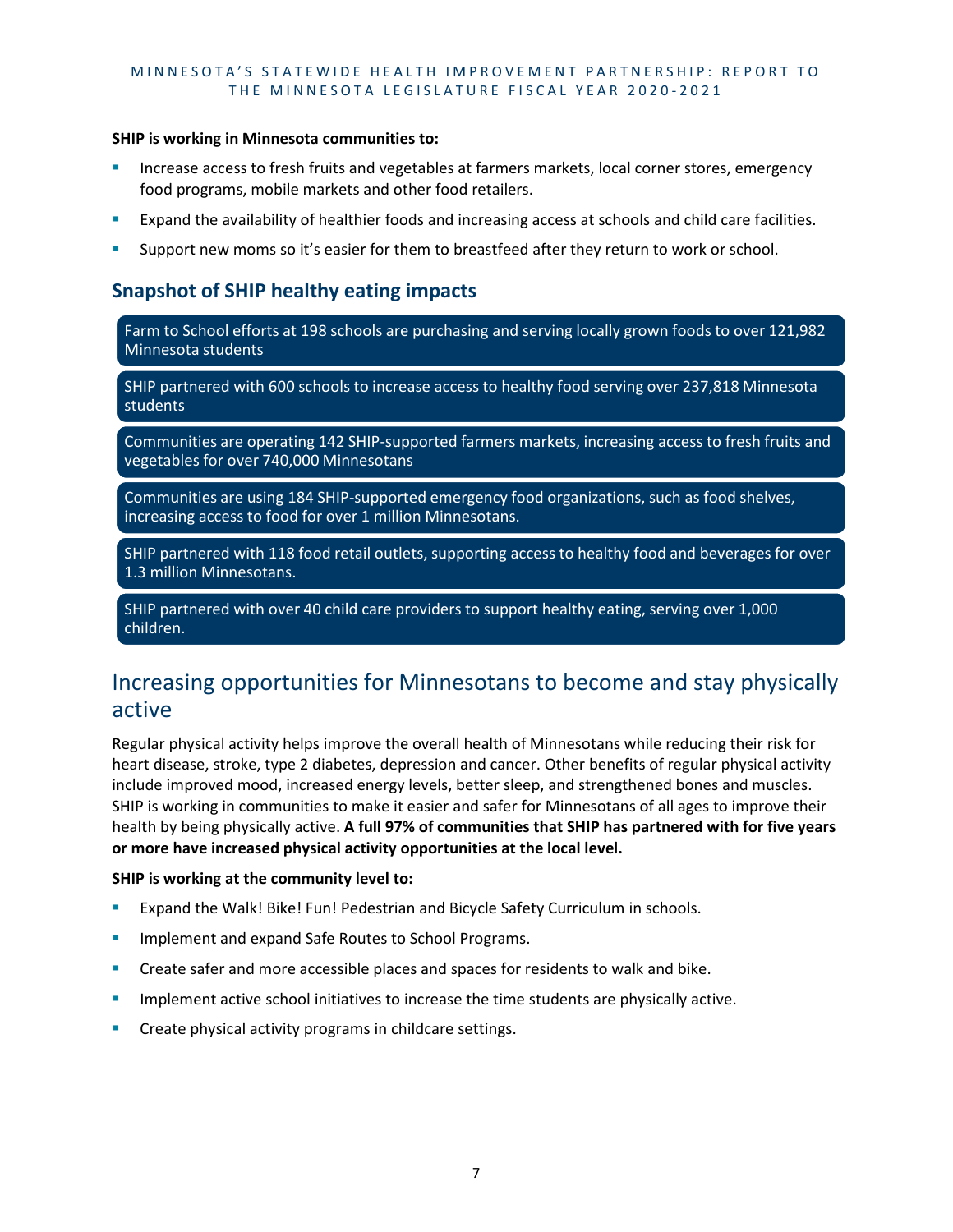#### **SHIP is working in Minnesota communities to:**

- Increase access to fresh fruits and vegetables at farmers markets, local corner stores, emergency food programs, mobile markets and other food retailers.
- Expand the availability of healthier foods and increasing access at schools and child care facilities.
- Support new moms so it's easier for them to breastfeed after they return to work or school.

## **Snapshot of SHIP healthy eating impacts**

Farm to School efforts at 198 schools are purchasing and serving locally grown foods to over 121,982 Minnesota students

SHIP partnered with 600 schools to increase access to healthy food serving over 237,818 Minnesota students

Communities are operating 142 SHIP-supported farmers markets, increasing access to fresh fruits and vegetables for over 740,000 Minnesotans

Communities are using 184 SHIP-supported emergency food organizations, such as food shelves, increasing access to food for over 1 million Minnesotans.

SHIP partnered with 118 food retail outlets, supporting access to healthy food and beverages for over 1.3 million Minnesotans.

SHIP partnered with over 40 child care providers to support healthy eating, serving over 1,000 children.

# <span id="page-10-0"></span>Increasing opportunities for Minnesotans to become and stay physically active

Regular physical activity helps improve the overall health of Minnesotans while reducing their risk for heart disease, stroke, type 2 diabetes, depression and cancer. Other benefits of regular physical activity include improved mood, increased energy levels, better sleep, and strengthened bones and muscles. SHIP is working in communities to make it easier and safer for Minnesotans of all ages to improve their health by being physically active. **A full 97% of communities that SHIP has partnered with for five years or more have increased physical activity opportunities at the local level.** 

#### **SHIP is working at the community level to:**

- Expand the Walk! Bike! Fun! Pedestrian and Bicycle Safety Curriculum in schools.
- **IMPLEMENTE And EXPAND Safe Routes to School Programs.**
- **EXP** Create safer and more accessible places and spaces for residents to walk and bike.
- Implement active school initiatives to increase the time students are physically active.
- Create physical activity programs in childcare settings.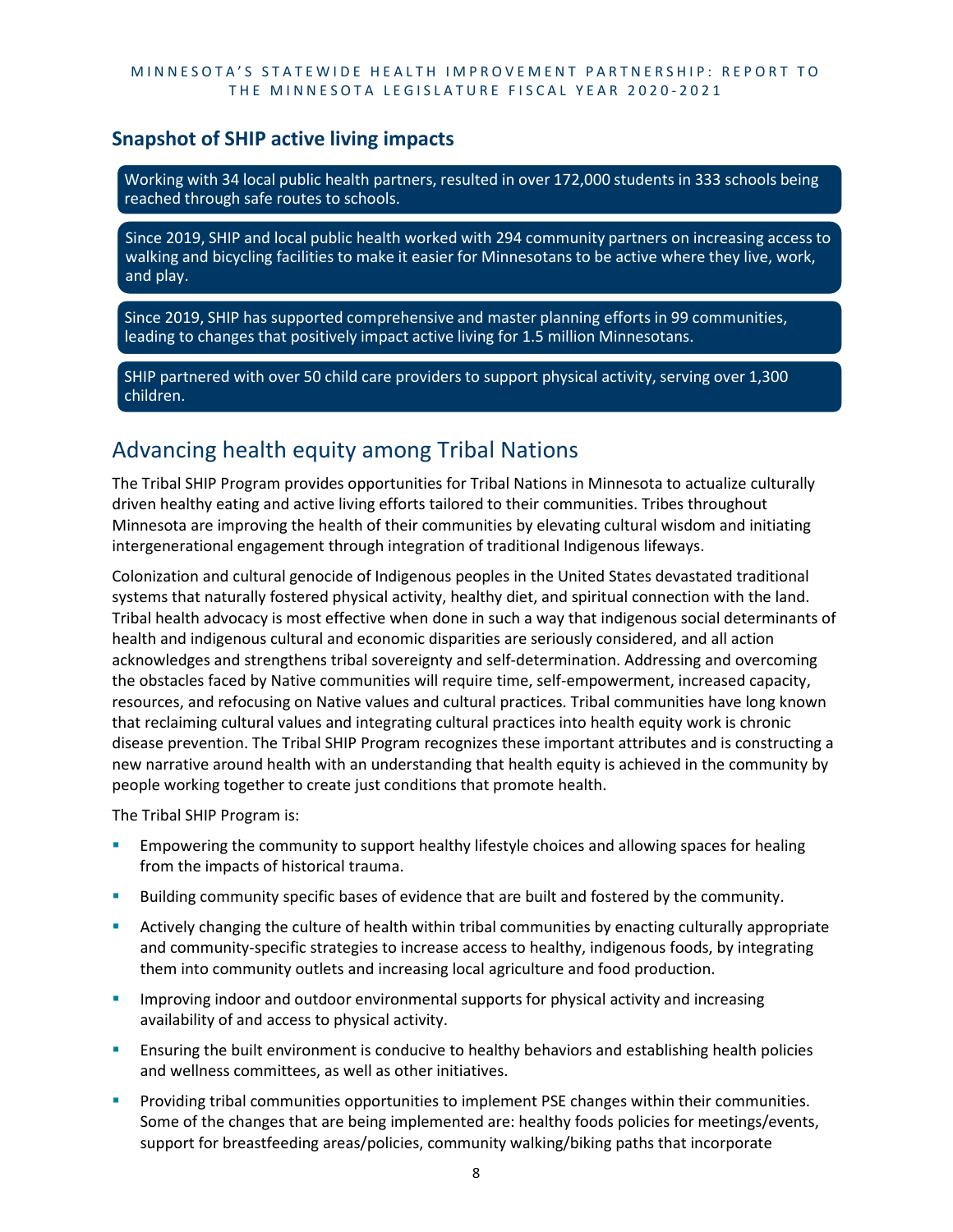## **Snapshot of SHIP active living impacts**

Working with 34 local public health partners, resulted in over 172,000 students in 333 schools being reached through safe routes to schools.

Since 2019, SHIP and local public health worked with 294 community partners on increasing access to walking and bicycling facilities to make it easier for Minnesotans to be active where they live, work, and play.

Since 2019, SHIP has supported comprehensive and master planning efforts in 99 communities, leading to changes that positively impact active living for 1.5 million Minnesotans.

SHIP partnered with over 50 child care providers to support physical activity, serving over 1,300 children.

# <span id="page-11-0"></span>Advancing health equity among Tribal Nations

The Tribal SHIP Program provides opportunities for Tribal Nations in Minnesota to actualize culturally driven healthy eating and active living efforts tailored to their communities. Tribes throughout Minnesota are improving the health of their communities by elevating cultural wisdom and initiating intergenerational engagement through integration of traditional Indigenous lifeways.

Colonization and cultural genocide of Indigenous peoples in the United States devastated traditional systems that naturally fostered physical activity, healthy diet, and spiritual connection with the land. Tribal health advocacy is most effective when done in such a way that indigenous social determinants of health and indigenous cultural and economic disparities are seriously considered, and all action acknowledges and strengthens tribal sovereignty and self-determination. Addressing and overcoming the obstacles faced by Native communities will require time, self-empowerment, increased capacity, resources, and refocusing on Native values and cultural practices. Tribal communities have long known that reclaiming cultural values and integrating cultural practices into health equity work is chronic disease prevention. The Tribal SHIP Program recognizes these important attributes and is constructing a new narrative around health with an understanding that health equity is achieved in the community by people working together to create just conditions that promote health.

The Tribal SHIP Program is:

- Empowering the community to support healthy lifestyle choices and allowing spaces for healing from the impacts of historical trauma.
- Building community specific bases of evidence that are built and fostered by the community.
- Actively changing the culture of health within tribal communities by enacting culturally appropriate and community-specific strategies to increase access to healthy, indigenous foods, by integrating them into community outlets and increasing local agriculture and food production.
- Improving indoor and outdoor environmental supports for physical activity and increasing availability of and access to physical activity.
- Ensuring the built environment is conducive to healthy behaviors and establishing health policies and wellness committees, as well as other initiatives.
- Providing tribal communities opportunities to implement PSE changes within their communities. Some of the changes that are being implemented are: healthy foods policies for meetings/events, support for breastfeeding areas/policies, community walking/biking paths that incorporate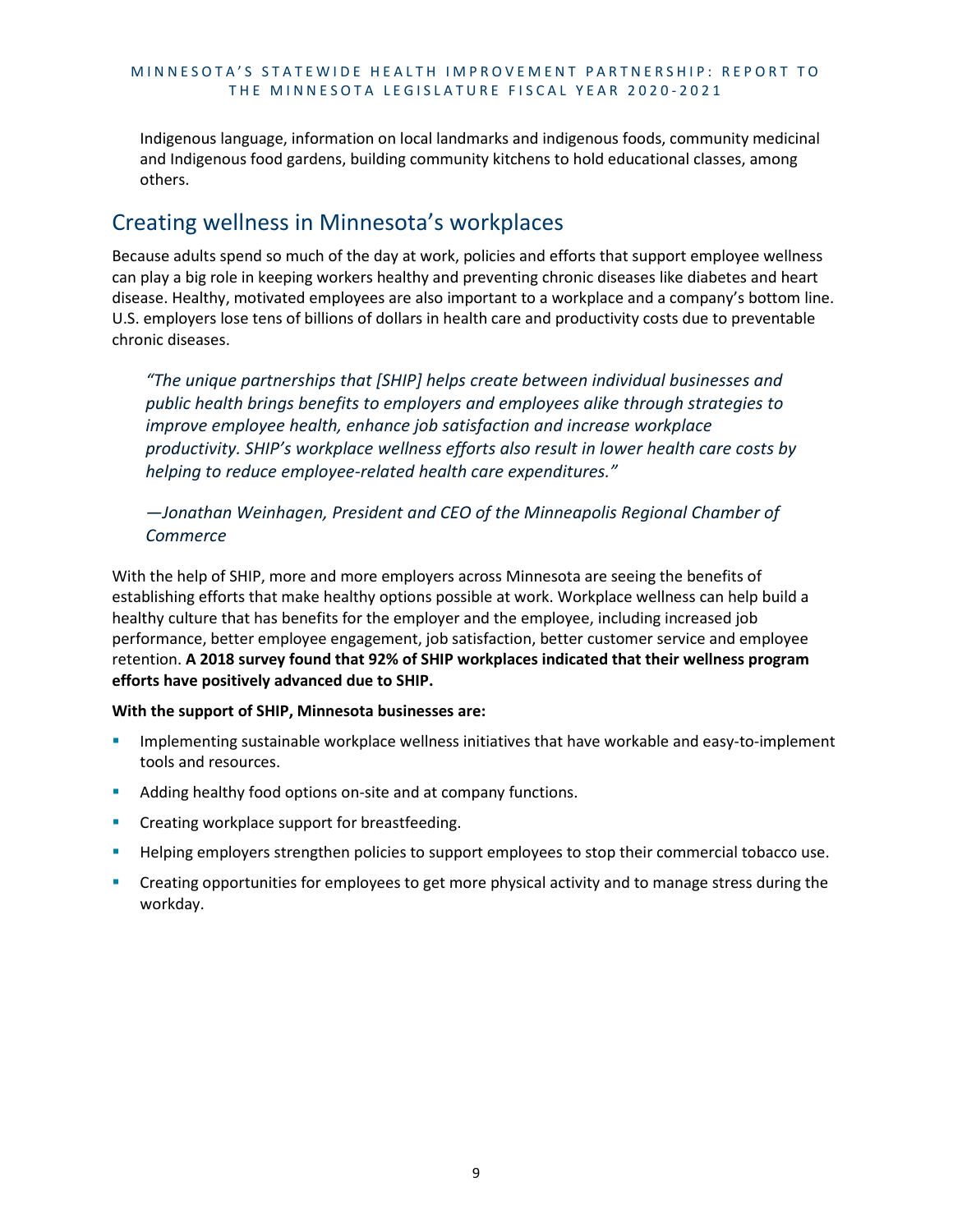Indigenous language, information on local landmarks and indigenous foods, community medicinal and Indigenous food gardens, building community kitchens to hold educational classes, among others.

# <span id="page-12-0"></span>Creating wellness in Minnesota's workplaces

Because adults spend so much of the day at work, policies and efforts that support employee wellness can play a big role in keeping workers healthy and preventing chronic diseases like diabetes and heart disease. Healthy, motivated employees are also important to a workplace and a company's bottom line. U.S. employers lose tens of billions of dollars in health care and productivity costs due to preventable chronic diseases.

*"The unique partnerships that [SHIP] helps create between individual businesses and public health brings benefits to employers and employees alike through strategies to improve employee health, enhance job satisfaction and increase workplace productivity. SHIP's workplace wellness efforts also result in lower health care costs by helping to reduce employee-related health care expenditures."* 

*—Jonathan Weinhagen, President and CEO of the Minneapolis Regional Chamber of Commerce*

With the help of SHIP, more and more employers across Minnesota are seeing the benefits of establishing efforts that make healthy options possible at work. Workplace wellness can help build a healthy culture that has benefits for the employer and the employee, including increased job performance, better employee engagement, job satisfaction, better customer service and employee retention. **A 2018 survey found that 92% of SHIP workplaces indicated that their wellness program efforts have positively advanced due to SHIP.**

#### **With the support of SHIP, Minnesota businesses are:**

- Implementing sustainable workplace wellness initiatives that have workable and easy-to-implement tools and resources.
- Adding healthy food options on-site and at company functions.
- **•** Creating workplace support for breastfeeding.
- Helping employers strengthen policies to support employees to stop their commercial tobacco use.
- Creating opportunities for employees to get more physical activity and to manage stress during the workday.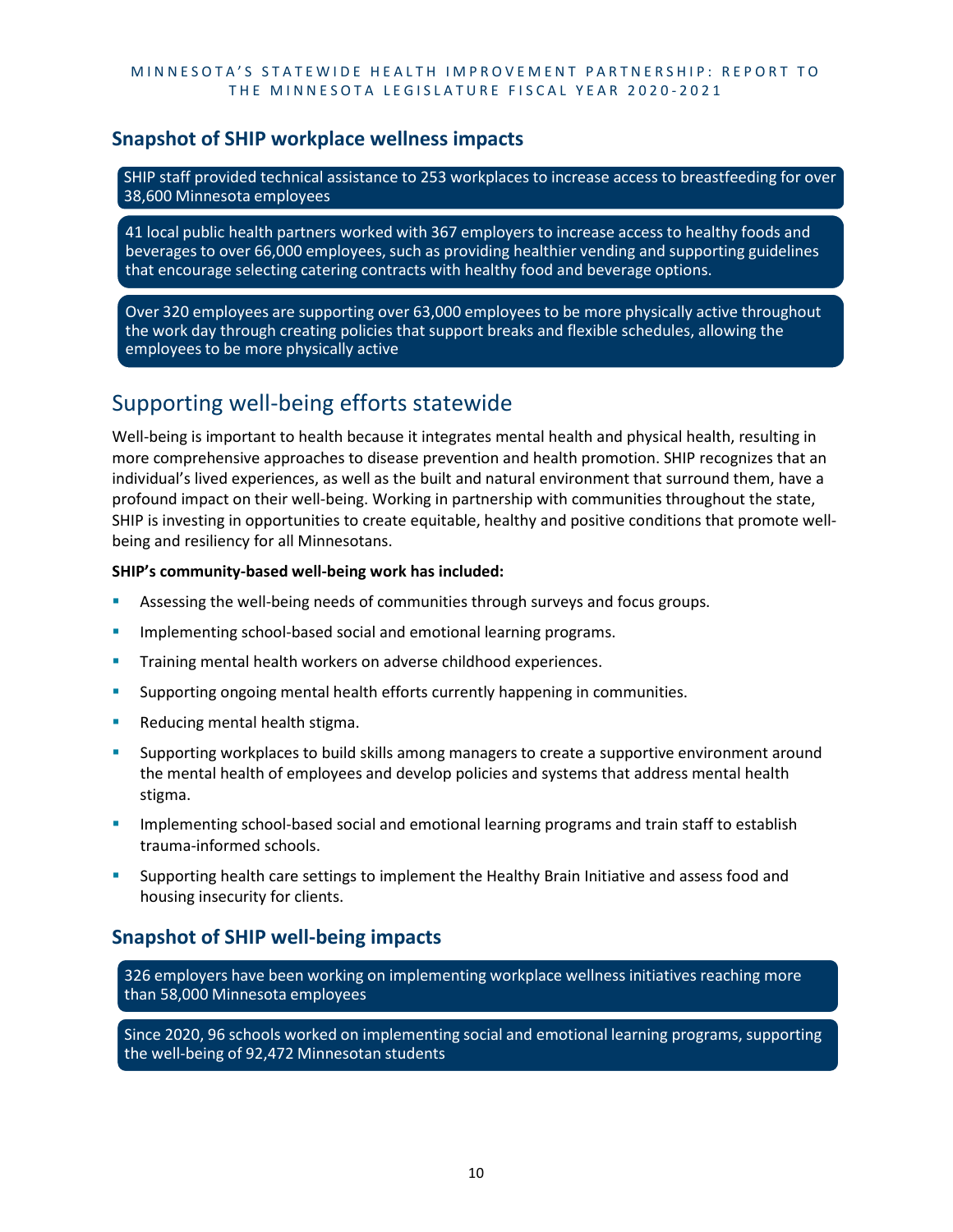## **Snapshot of SHIP workplace wellness impacts**

SHIP staff provided technical assistance to 253 workplaces to increase access to breastfeeding for over 38,600 Minnesota employees

41 local public health partners worked with 367 employers to increase access to healthy foods and beverages to over 66,000 employees, such as providing healthier vending and supporting guidelines that encourage selecting catering contracts with healthy food and beverage options.

Over 320 employees are supporting over 63,000 employees to be more physically active throughout the work day through creating policies that support breaks and flexible schedules, allowing the employees to be more physically active

# <span id="page-13-0"></span>Supporting well-being efforts statewide

Well-being is important to health because it integrates mental health and physical health, resulting in more comprehensive approaches to disease prevention and health promotion. SHIP recognizes that an individual's lived experiences, as well as the built and natural environment that surround them, have a profound impact on their well-being. Working in partnership with communities throughout the state, SHIP is investing in opportunities to create equitable, healthy and positive conditions that promote wellbeing and resiliency for all Minnesotans.

#### **SHIP's community-based well-being work has included:**

- Assessing the well-being needs of communities through surveys and focus groups.
- Implementing school-based social and emotional learning programs.
- Training mental health workers on adverse childhood experiences.
- **Supporting ongoing mental health efforts currently happening in communities.**
- Reducing mental health stigma.
- Supporting workplaces to build skills among managers to create a supportive environment around the mental health of employees and develop policies and systems that address mental health stigma.
- Implementing school-based social and emotional learning programs and train staff to establish trauma-informed schools.
- Supporting health care settings to implement the Healthy Brain Initiative and assess food and housing insecurity for clients.

# **Snapshot of SHIP well-being impacts**

326 employers have been working on implementing workplace wellness initiatives reaching more than 58,000 Minnesota employees

Since 2020, 96 schools worked on implementing social and emotional learning programs, supporting the well-being of 92,472 Minnesotan students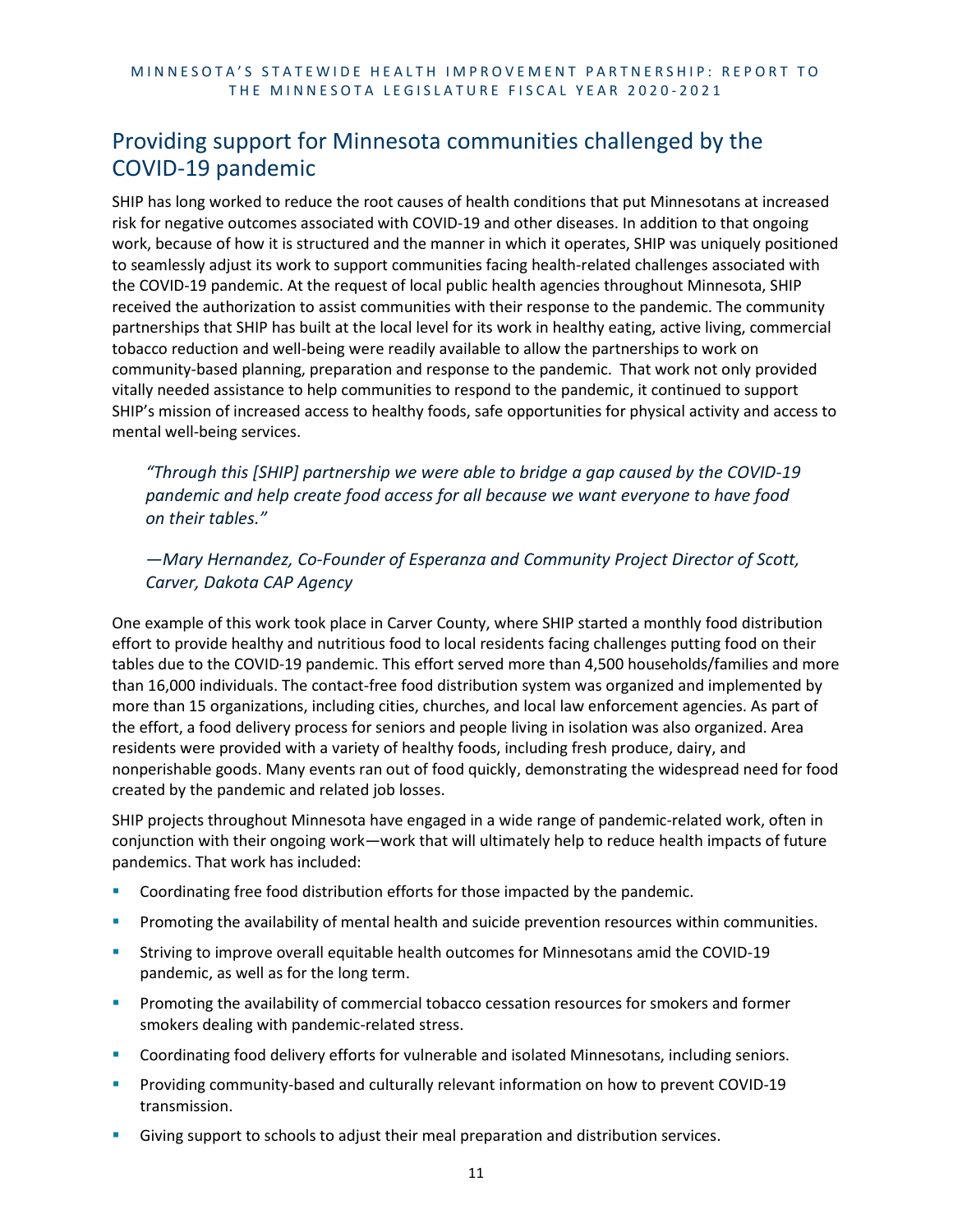# <span id="page-14-0"></span>Providing support for Minnesota communities challenged by the COVID-19 pandemic

SHIP has long worked to reduce the root causes of health conditions that put Minnesotans at increased risk for negative outcomes associated with COVID-19 and other diseases. In addition to that ongoing work, because of how it is structured and the manner in which it operates, SHIP was uniquely positioned to seamlessly adjust its work to support communities facing health-related challenges associated with the COVID-19 pandemic. At the request of local public health agencies throughout Minnesota, SHIP received the authorization to assist communities with their response to the pandemic. The community partnerships that SHIP has built at the local level for its work in healthy eating, active living, commercial tobacco reduction and well-being were readily available to allow the partnerships to work on community-based planning, preparation and response to the pandemic. That work not only provided vitally needed assistance to help communities to respond to the pandemic, it continued to support SHIP's mission of increased access to healthy foods, safe opportunities for physical activity and access to mental well-being services.

*"Through this [SHIP] partnership we were able to bridge a gap caused by the COVID-19 pandemic and help create food access for all because we want everyone to have food on their tables."* 

*—Mary Hernandez, Co-Founder of Esperanza and Community Project Director of Scott, Carver, Dakota CAP Agency*

One example of this work took place in Carver County, where SHIP started a monthly food distribution effort to provide healthy and nutritious food to local residents facing challenges putting food on their tables due to the COVID-19 pandemic. This effort served more than 4,500 households/families and more than 16,000 individuals. The contact-free food distribution system was organized and implemented by more than 15 organizations, including cities, churches, and local law enforcement agencies. As part of the effort, a food delivery process for seniors and people living in isolation was also organized. Area residents were provided with a variety of healthy foods, including fresh produce, dairy, and nonperishable goods. Many events ran out of food quickly, demonstrating the widespread need for food created by the pandemic and related job losses.

SHIP projects throughout Minnesota have engaged in a wide range of pandemic-related work, often in conjunction with their ongoing work—work that will ultimately help to reduce health impacts of future pandemics. That work has included:

- Coordinating free food distribution efforts for those impacted by the pandemic.
- **Promoting the availability of mental health and suicide prevention resources within communities.**
- Striving to improve overall equitable health outcomes for Minnesotans amid the COVID-19 pandemic, as well as for the long term.
- Promoting the availability of commercial tobacco cessation resources for smokers and former smokers dealing with pandemic-related stress.
- Coordinating food delivery efforts for vulnerable and isolated Minnesotans, including seniors.
- **Providing community-based and culturally relevant information on how to prevent COVID-19** transmission.
- Giving support to schools to adjust their meal preparation and distribution services.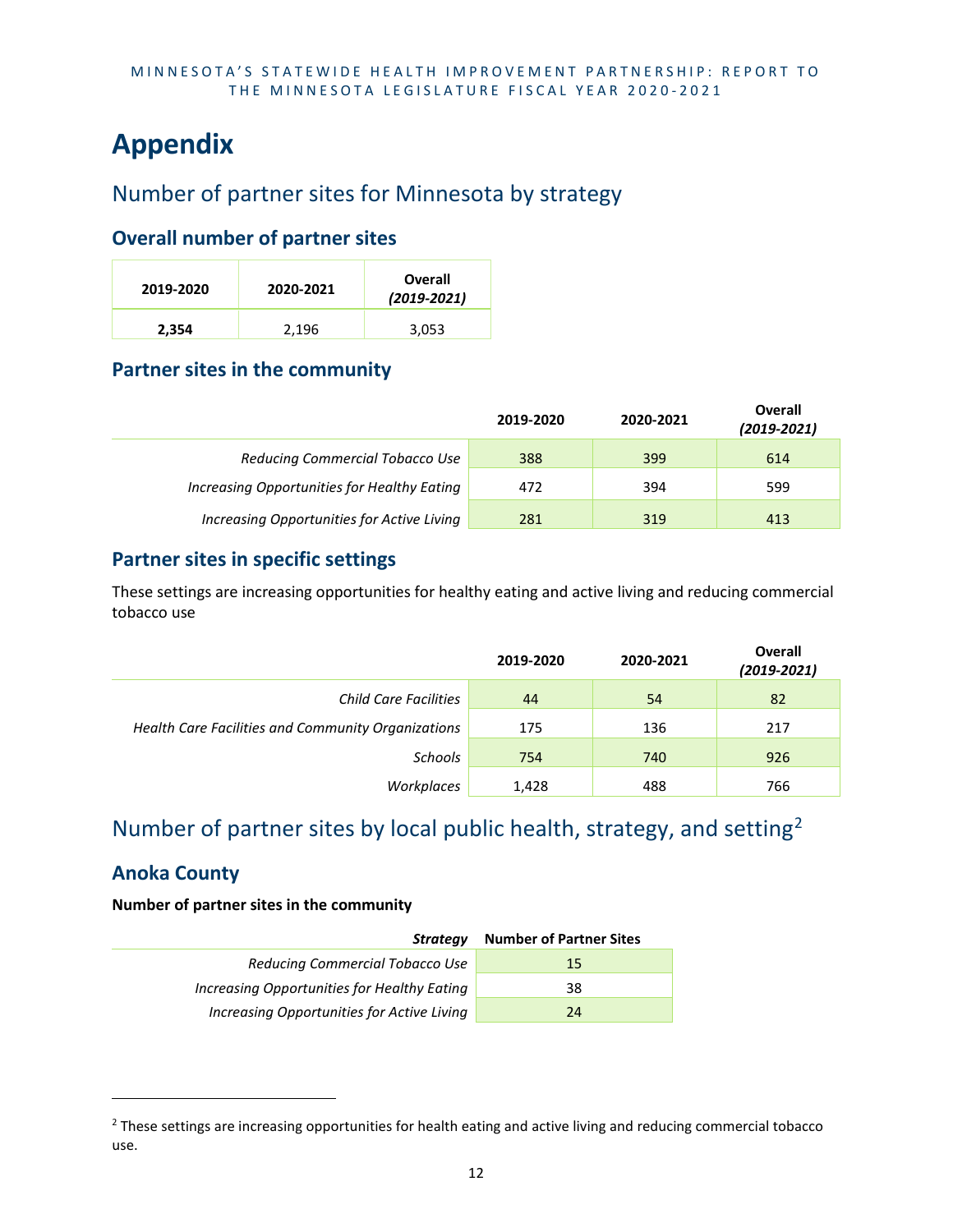# <span id="page-15-0"></span>**Appendix**

# <span id="page-15-1"></span>Number of partner sites for Minnesota by strategy

# **Overall number of partner sites**

| 2019-2020 | 2020-2021 | Overall<br>$(2019 - 2021)$ |
|-----------|-----------|----------------------------|
| 2,354     | 2,196     | 3,053                      |

# **Partner sites in the community**

|                                             | 2019-2020 | 2020-2021 | <b>Overall</b><br>$(2019 - 2021)$ |
|---------------------------------------------|-----------|-----------|-----------------------------------|
| Reducing Commercial Tobacco Use             | 388       | 399       | 614                               |
| Increasing Opportunities for Healthy Eating | 472       | 394       | 599                               |
| Increasing Opportunities for Active Living  | 281       | 319       | 413                               |

# **Partner sites in specific settings**

These settings are increasing opportunities for healthy eating and active living and reducing commercial tobacco use

|                                                    | 2019-2020 | 2020-2021 | Overall<br>$(2019 - 2021)$ |
|----------------------------------------------------|-----------|-----------|----------------------------|
| Child Care Facilities                              | 44        | 54        | 82                         |
| Health Care Facilities and Community Organizations | 175       | 136       | 217                        |
| Schools                                            | 754       | 740       | 926                        |
| Workplaces                                         | 1,428     | 488       | 766                        |

# <span id="page-15-2"></span>Number of partner sites by local public health, strategy, and setting[2](#page-15-3)

# **Anoka County**

| Strategy                                    | <b>Number of Partner Sites</b> |
|---------------------------------------------|--------------------------------|
| Reducing Commercial Tobacco Use             | 15                             |
| Increasing Opportunities for Healthy Eating | 38                             |
| Increasing Opportunities for Active Living  | 24                             |

<span id="page-15-3"></span><sup>&</sup>lt;sup>2</sup> These settings are increasing opportunities for health eating and active living and reducing commercial tobacco use.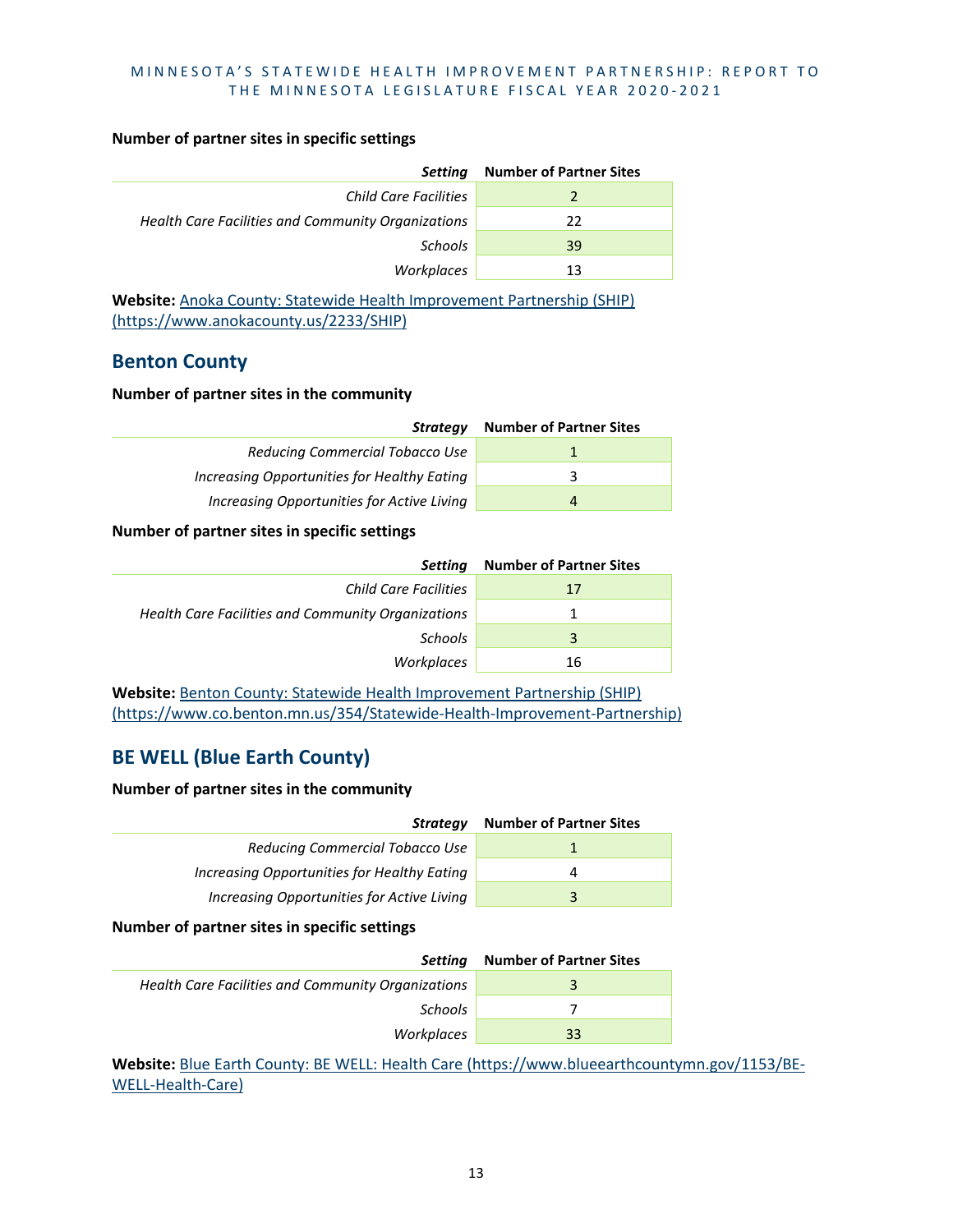#### **Number of partner sites in specific settings**

| Setting                                            | <b>Number of Partner Sites</b> |
|----------------------------------------------------|--------------------------------|
| Child Care Facilities                              |                                |
| Health Care Facilities and Community Organizations | 22                             |
| Schools                                            | 39                             |
| Workplaces                                         | 13                             |

**Website:** [Anoka County: Statewide Health Improvement Partnership \(SHIP\)](https://www.anokacounty.us/2233/SHIP)  [\(https://www.anokacounty.us/2233/SHIP\)](https://www.anokacounty.us/2233/SHIP)

### **Benton County**

#### **Number of partner sites in the community**

| <b>Strategy</b>                             | <b>Number of Partner Sites</b> |
|---------------------------------------------|--------------------------------|
| Reducing Commercial Tobacco Use             |                                |
| Increasing Opportunities for Healthy Eating | 2                              |
| Increasing Opportunities for Active Living  | 4                              |

#### **Number of partner sites in specific settings**

| Setting                                            | <b>Number of Partner Sites</b> |
|----------------------------------------------------|--------------------------------|
| Child Care Facilities                              | 17                             |
| Health Care Facilities and Community Organizations | 1                              |
| <b>Schools</b>                                     | 3                              |
| Workplaces                                         | 16                             |

**Website:** [Benton County: Statewide Health Improvement Partnership \(SHIP\)](https://www.co.benton.mn.us/354/Statewide-Health-Improvement-Partnership)  [\(https://www.co.benton.mn.us/354/Statewide-Health-Improvement-Partnership\)](https://www.co.benton.mn.us/354/Statewide-Health-Improvement-Partnership)

# **BE WELL (Blue Earth County)**

#### **Number of partner sites in the community**

| Strateav                                    | <b>Number of Partner Sites</b> |
|---------------------------------------------|--------------------------------|
| Reducing Commercial Tobacco Use             |                                |
| Increasing Opportunities for Healthy Eating | Δ                              |
| Increasing Opportunities for Active Living  |                                |

#### **Number of partner sites in specific settings**

| Settina                                            | <b>Number of Partner Sites</b> |
|----------------------------------------------------|--------------------------------|
| Health Care Facilities and Community Organizations | 3                              |
| <b>Schools</b>                                     |                                |
| Workplaces                                         | 33                             |

Website: [Blue Earth County: BE WELL: Health Care \(https://www.blueearthcountymn.gov/1153/BE-](https://www.blueearthcountymn.gov/1153/BE-WELL-Health-Care)[WELL-Health-Care\)](https://www.blueearthcountymn.gov/1153/BE-WELL-Health-Care)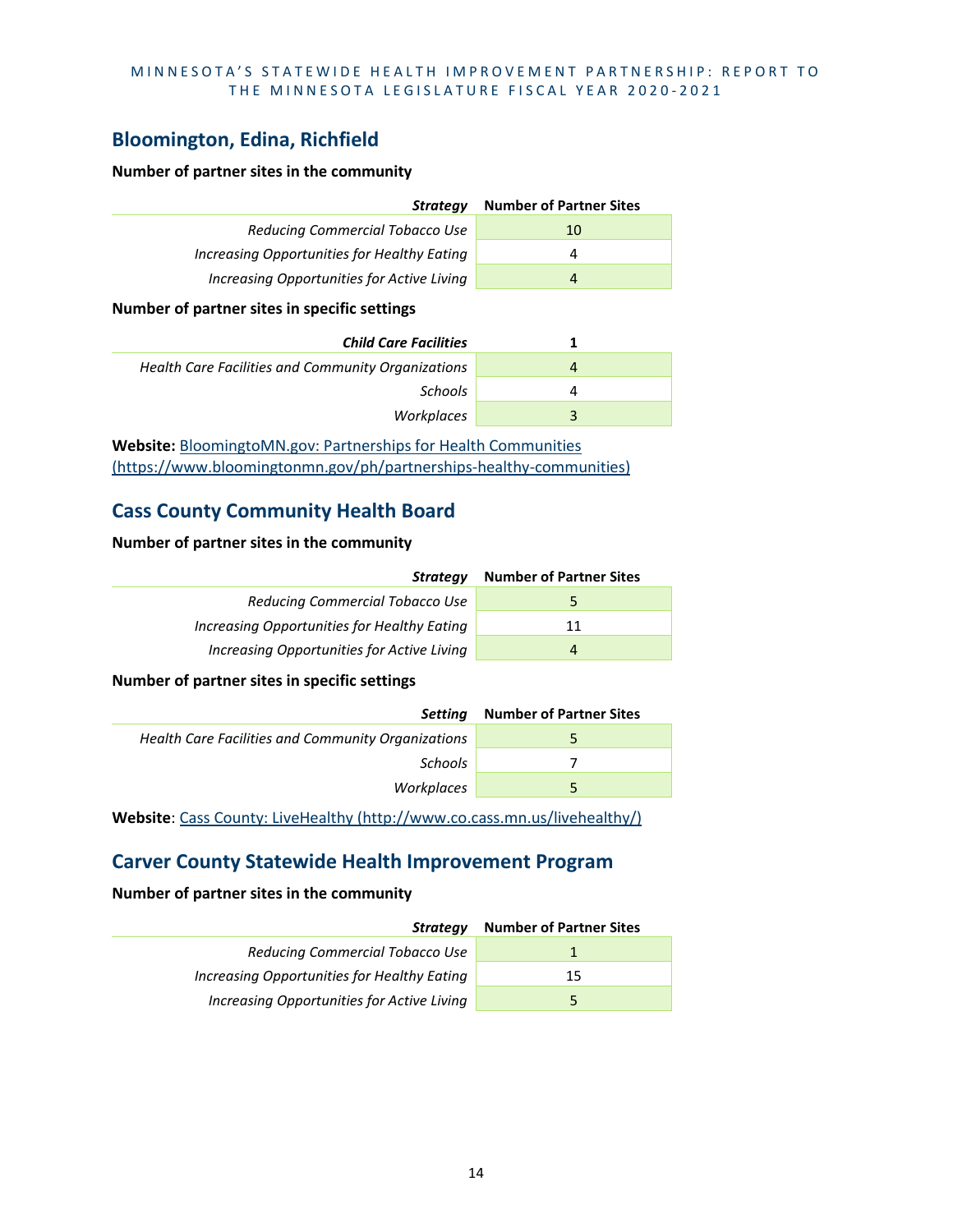# **Bloomington, Edina, Richfield**

#### **Number of partner sites in the community**

| Strategy                                    | <b>Number of Partner Sites</b> |
|---------------------------------------------|--------------------------------|
| Reducing Commercial Tobacco Use             | 10                             |
| Increasing Opportunities for Healthy Eating | 4                              |
| Increasing Opportunities for Active Living  | $\overline{4}$                 |
|                                             |                                |

#### **Number of partner sites in specific settings**

| <b>Child Care Facilities</b>                       |   |
|----------------------------------------------------|---|
| Health Care Facilities and Community Organizations | 4 |
| <b>Schools</b>                                     | 4 |
| Workplaces                                         | 3 |

**Website:** [BloomingtoMN.gov: Partnerships for Health Communities](https://www.bloomingtonmn.gov/ph/partnerships-healthy-communities)  [\(https://www.bloomingtonmn.gov/ph/partnerships-healthy-communities\)](https://www.bloomingtonmn.gov/ph/partnerships-healthy-communities)

# **Cass County Community Health Board**

#### **Number of partner sites in the community**

| Strategy                                    | <b>Number of Partner Sites</b> |
|---------------------------------------------|--------------------------------|
| Reducing Commercial Tobacco Use             | ∽                              |
| Increasing Opportunities for Healthy Eating | 11                             |
| Increasing Opportunities for Active Living  | $\overline{a}$                 |

**Number of partner sites in specific settings**

| Settina                                            | <b>Number of Partner Sites</b> |
|----------------------------------------------------|--------------------------------|
| Health Care Facilities and Community Organizations | 5                              |
| <b>Schools</b>                                     |                                |
| Workplaces                                         | 5                              |
|                                                    |                                |

**Website**: [Cass County: LiveHealthy \(http://www.co.cass.mn.us/livehealthy/\)](http://www.co.cass.mn.us/livehealthy/)

## **Carver County Statewide Health Improvement Program**

| Strateav                                    | <b>Number of Partner Sites</b> |
|---------------------------------------------|--------------------------------|
| Reducing Commercial Tobacco Use             |                                |
| Increasing Opportunities for Healthy Eating | 15                             |
| Increasing Opportunities for Active Living  |                                |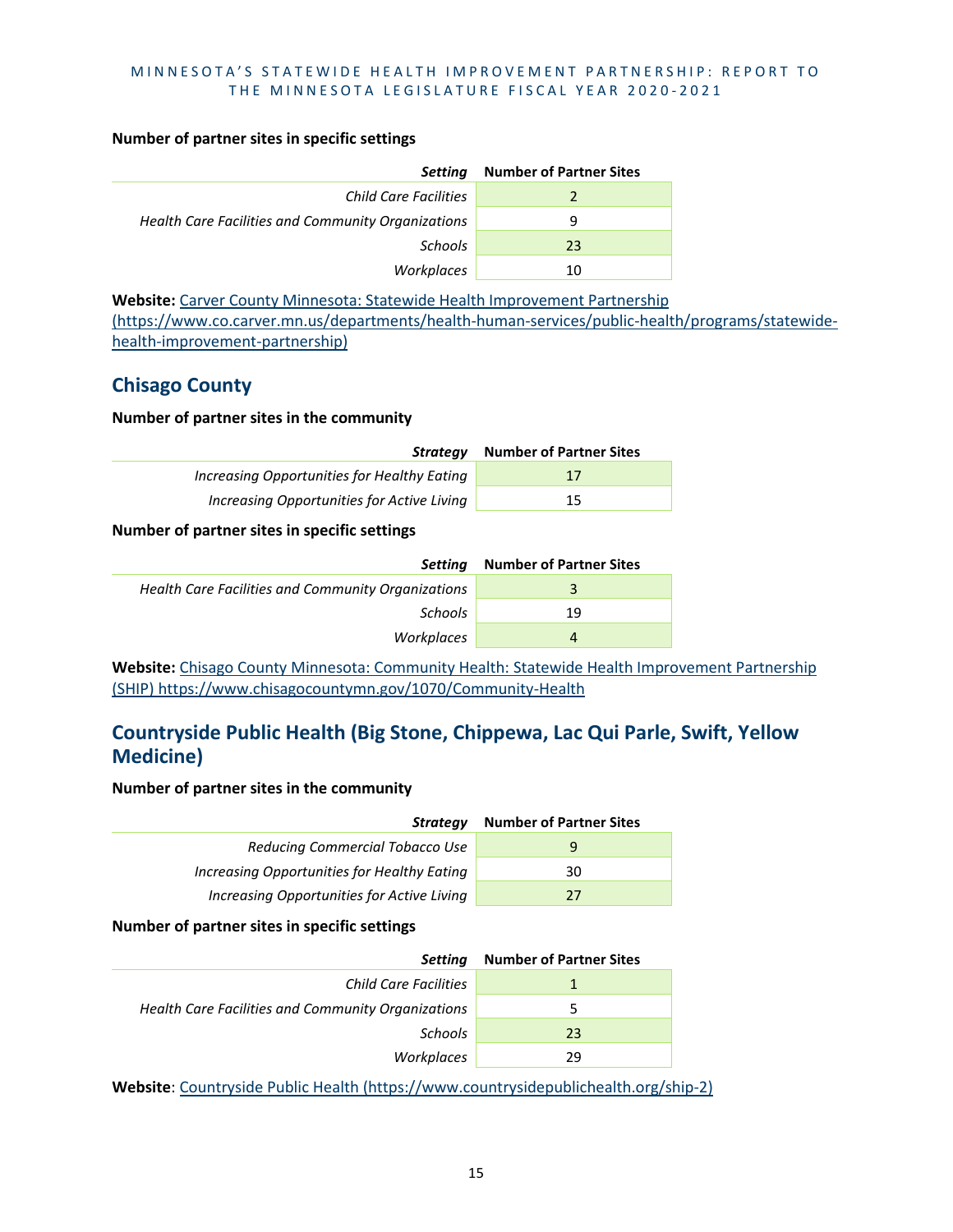#### **Number of partner sites in specific settings**

| Setting                                            | <b>Number of Partner Sites</b> |
|----------------------------------------------------|--------------------------------|
| Child Care Facilities                              |                                |
| Health Care Facilities and Community Organizations | 9                              |
| <b>Schools</b>                                     | 23                             |
| Workplaces                                         | 10                             |

**Website:** [Carver County Minnesota: Statewide Health Improvement Partnership](https://www.co.carver.mn.us/departments/health-human-services/public-health/programs/statewide-health-improvement-partnership)  [\(https://www.co.carver.mn.us/departments/health-human-services/public-health/programs/statewide](https://www.co.carver.mn.us/departments/health-human-services/public-health/programs/statewide-health-improvement-partnership)[health-improvement-partnership\)](https://www.co.carver.mn.us/departments/health-human-services/public-health/programs/statewide-health-improvement-partnership)

## **Chisago County**

#### **Number of partner sites in the community**

| Strateav                                    | <b>Number of Partner Sites</b> |
|---------------------------------------------|--------------------------------|
| Increasing Opportunities for Healthy Eating | 17                             |
| Increasing Opportunities for Active Living  | 15                             |

#### **Number of partner sites in specific settings**

| Settina                                            | <b>Number of Partner Sites</b> |
|----------------------------------------------------|--------------------------------|
| Health Care Facilities and Community Organizations | 3                              |
| Schools                                            | 19                             |
| Workplaces                                         | 4                              |

Website: [Chisago County Minnesota: Community Health:](https://www.chisagocountymn.gov/1070/Community-Health) Statewide Health Improvement Partnership [\(SHIP\) https://www.chisagocountymn.gov/1070/Community-Health](https://www.chisagocountymn.gov/1070/Community-Health)

# **Countryside Public Health (Big Stone, Chippewa, Lac Qui Parle, Swift, Yellow Medicine)**

#### **Number of partner sites in the community**

| Strategy                                    | <b>Number of Partner Sites</b> |
|---------------------------------------------|--------------------------------|
| Reducing Commercial Tobacco Use             | 9                              |
| Increasing Opportunities for Healthy Eating | 30                             |
| Increasing Opportunities for Active Living  | 27                             |

#### **Number of partner sites in specific settings**

| Setting                                            | <b>Number of Partner Sites</b> |
|----------------------------------------------------|--------------------------------|
| Child Care Facilities                              |                                |
| Health Care Facilities and Community Organizations | 5                              |
| <b>Schools</b>                                     | 23                             |
| Workplaces                                         | 29                             |

**Website**: [Countryside Public Health \(https://www.countrysidepublichealth.org/ship-2\)](https://www.countrysidepublichealth.org/ship-2)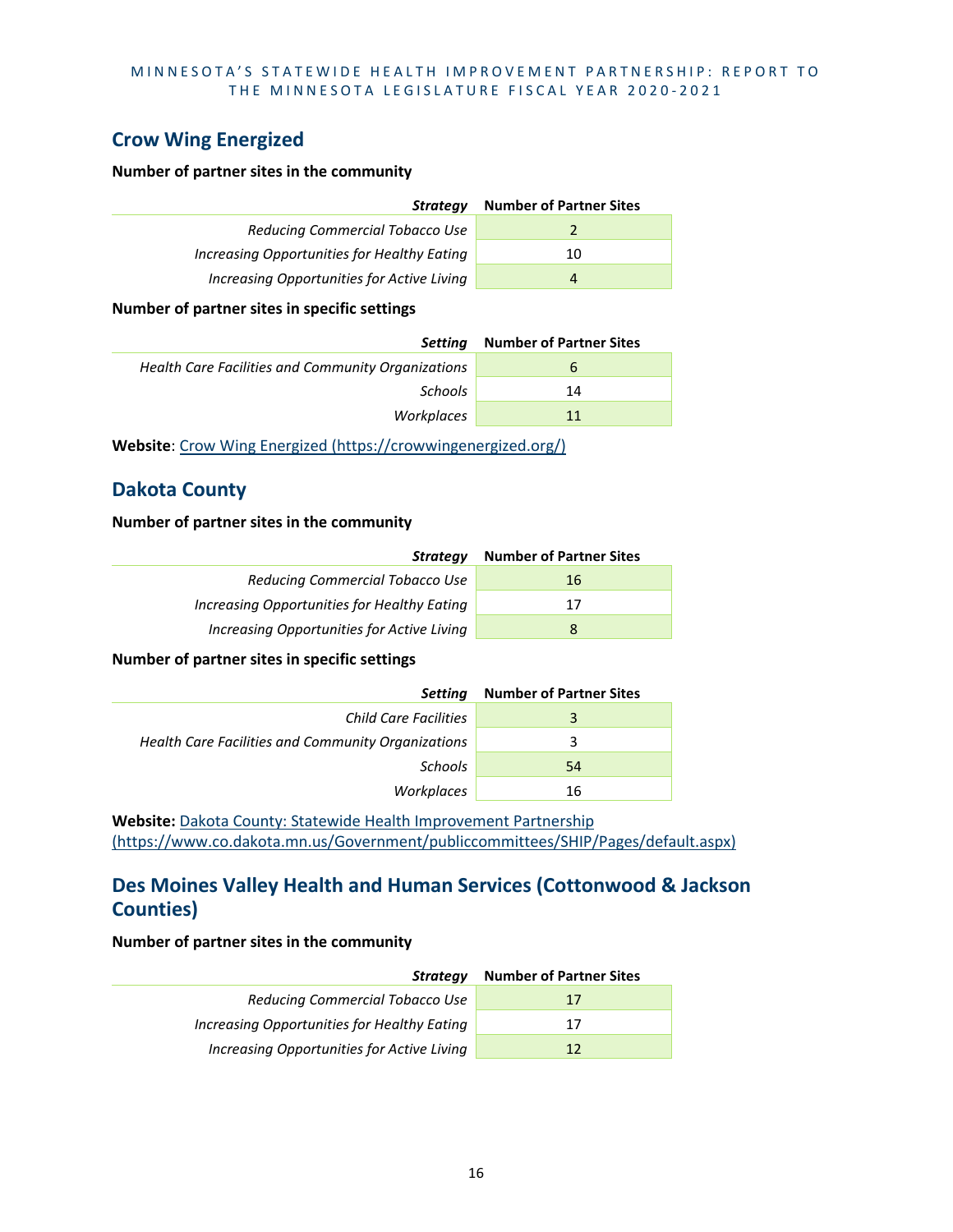# **Crow Wing Energized**

#### **Number of partner sites in the community**

| Strategy                                    | <b>Number of Partner Sites</b> |
|---------------------------------------------|--------------------------------|
| Reducing Commercial Tobacco Use             |                                |
| Increasing Opportunities for Healthy Eating | 10                             |
| Increasing Opportunities for Active Living  | 4                              |

#### **Number of partner sites in specific settings**

| Settina                                            | <b>Number of Partner Sites</b> |
|----------------------------------------------------|--------------------------------|
| Health Care Facilities and Community Organizations | $\mathbf b$                    |
| Schools                                            | 14                             |
| Workplaces                                         | 11                             |

**Website**: [Crow Wing Energized \(https://crowwingenergized.org/\)](https://crowwingenergized.org/)

# **Dakota County**

#### **Number of partner sites in the community**

| Strategy                                    | <b>Number of Partner Sites</b> |
|---------------------------------------------|--------------------------------|
| Reducing Commercial Tobacco Use             | 16                             |
| Increasing Opportunities for Healthy Eating | 17                             |
| Increasing Opportunities for Active Living  | 8                              |

#### **Number of partner sites in specific settings**

| Setting                                            | <b>Number of Partner Sites</b> |
|----------------------------------------------------|--------------------------------|
| <b>Child Care Facilities</b>                       | 3                              |
| Health Care Facilities and Community Organizations | 3                              |
| Schools                                            | 54                             |
| Workplaces                                         | 16                             |

**Website:** [Dakota County: Statewide Health Improvement Partnership](https://www.co.dakota.mn.us/Government/publiccommittees/SHIP/Pages/default.aspx)  [\(https://www.co.dakota.mn.us/Government/publiccommittees/SHIP/Pages/default.aspx\)](https://www.co.dakota.mn.us/Government/publiccommittees/SHIP/Pages/default.aspx)

# **Des Moines Valley Health and Human Services (Cottonwood & Jackson Counties)**

| Strategy                                    | <b>Number of Partner Sites</b> |
|---------------------------------------------|--------------------------------|
| Reducing Commercial Tobacco Use             | 17                             |
| Increasing Opportunities for Healthy Eating | 17                             |
| Increasing Opportunities for Active Living  | 12                             |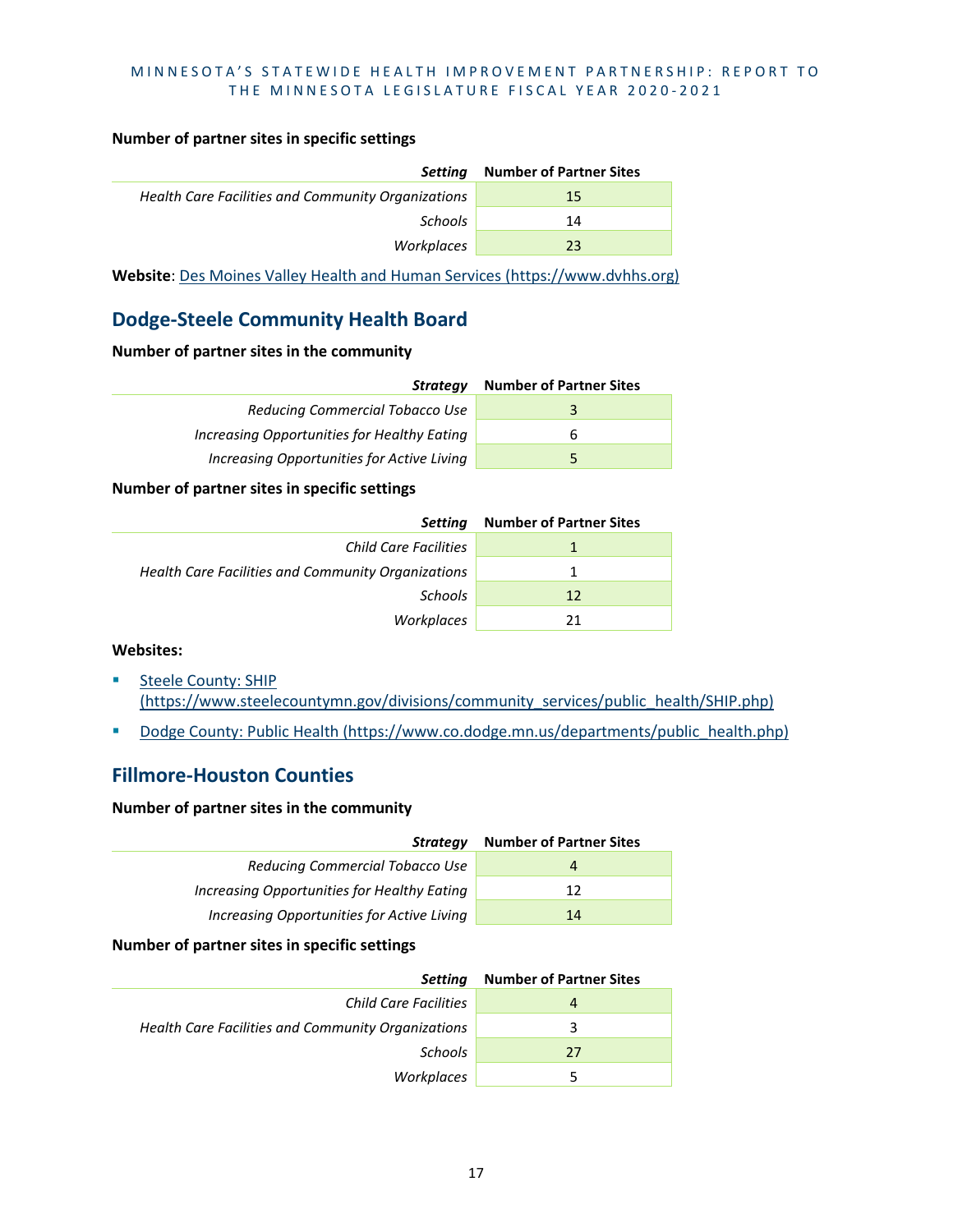#### **Number of partner sites in specific settings**

| Settina                                            | <b>Number of Partner Sites</b> |
|----------------------------------------------------|--------------------------------|
| Health Care Facilities and Community Organizations | 15                             |
| Schools                                            | 14                             |
| Workplaces                                         | 23                             |
|                                                    |                                |

**Website**: [Des Moines Valley Health and Human Services \(https://www.dvhhs.org\)](https://www.dvhhs.org/)

# **Dodge-Steele Community Health Board**

#### **Number of partner sites in the community**

| <b>Strategy</b>                             | <b>Number of Partner Sites</b> |
|---------------------------------------------|--------------------------------|
| Reducing Commercial Tobacco Use             |                                |
| Increasing Opportunities for Healthy Eating |                                |
| Increasing Opportunities for Active Living  |                                |

#### **Number of partner sites in specific settings**

| <b>Setting</b>                                     | <b>Number of Partner Sites</b> |
|----------------------------------------------------|--------------------------------|
| Child Care Facilities                              |                                |
| Health Care Facilities and Community Organizations |                                |
| <b>Schools</b>                                     | 12                             |
| Workplaces                                         | 21                             |

#### **Websites:**

- **Steele County: SHIP** [\(https://www.steelecountymn.gov/divisions/community\\_services/public\\_health/SHIP.php\)](https://www.steelecountymn.gov/divisions/community_services/public_health/SHIP.php)
- [Dodge County: Public Health \(https://www.co.dodge.mn.us/departments/public\\_health.php\)](https://www.co.dodge.mn.us/departments/public_health.php)

# **Fillmore-Houston Counties**

#### **Number of partner sites in the community**

| <b>Strategy</b>                             | <b>Number of Partner Sites</b> |
|---------------------------------------------|--------------------------------|
| Reducing Commercial Tobacco Use             | 4                              |
| Increasing Opportunities for Healthy Eating | 12                             |
| Increasing Opportunities for Active Living  | 14                             |

#### **Number of partner sites in specific settings**

| Setting                                            | <b>Number of Partner Sites</b> |
|----------------------------------------------------|--------------------------------|
| Child Care Facilities                              | 4                              |
| Health Care Facilities and Community Organizations | 3                              |
| Schools                                            | 27                             |
| Workplaces                                         | -5                             |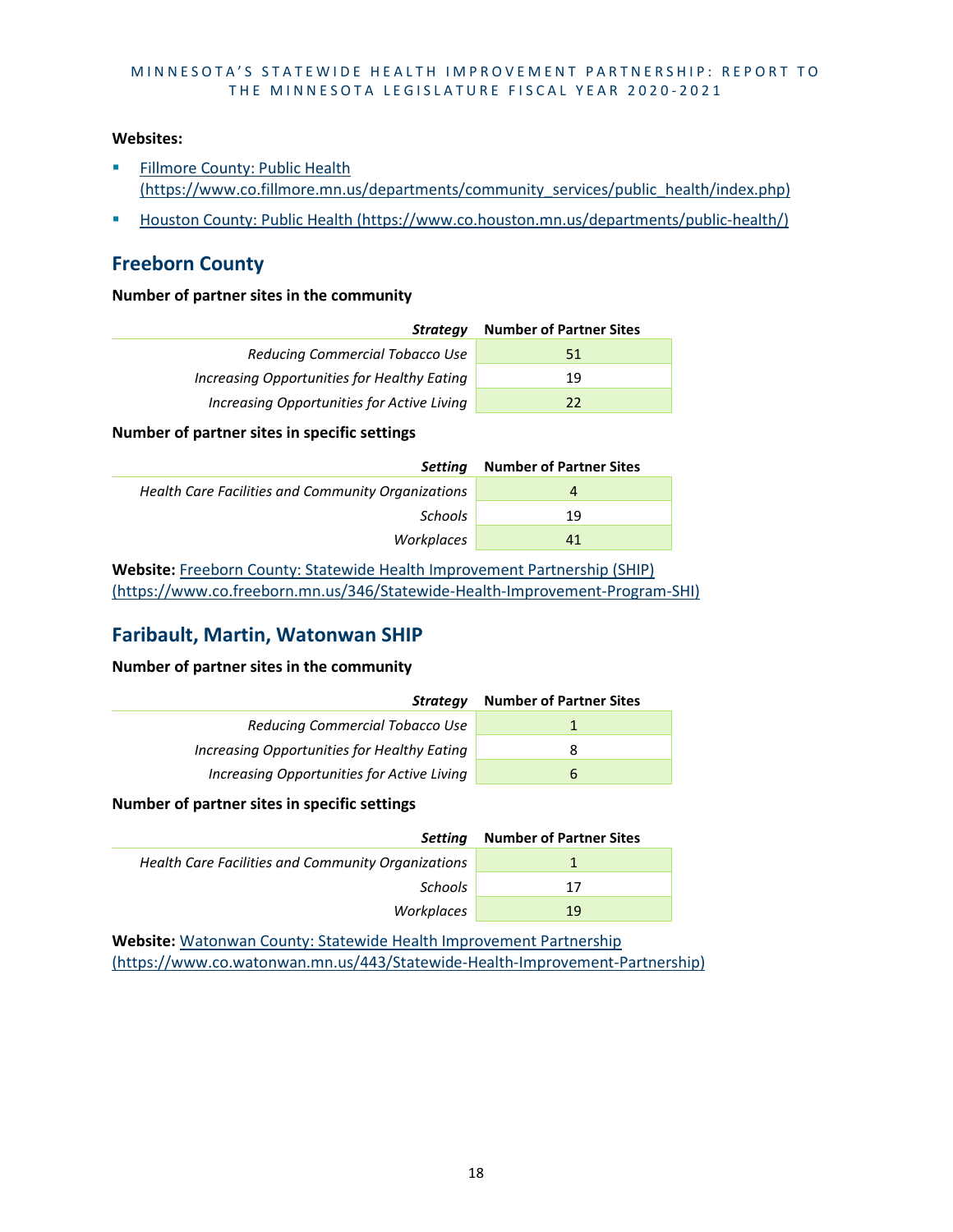#### **Websites:**

- **Fillmore County: Public Health** [\(https://www.co.fillmore.mn.us/departments/community\\_services/public\\_health/index.php\)](https://www.co.fillmore.mn.us/departments/community_services/public_health/index.php)
- [Houston County: Public Health \(https://www.co.houston.mn.us/departments/public-health/\)](https://www.co.houston.mn.us/departments/public-health/)

### **Freeborn County**

#### **Number of partner sites in the community**

| Strategy                                    | <b>Number of Partner Sites</b> |
|---------------------------------------------|--------------------------------|
| Reducing Commercial Tobacco Use             | 51                             |
| Increasing Opportunities for Healthy Eating | 19                             |
| Increasing Opportunities for Active Living  | 22                             |
|                                             |                                |

#### **Number of partner sites in specific settings**

| Settina                                            | <b>Number of Partner Sites</b> |
|----------------------------------------------------|--------------------------------|
| Health Care Facilities and Community Organizations | 4                              |
| <b>Schools</b>                                     | 19                             |
| Workplaces                                         | 41                             |

**Website:** [Freeborn County: Statewide Health Improvement Partnership \(SHIP\)](https://www.co.freeborn.mn.us/346/Statewide-Health-Improvement-Program-SHI)  [\(https://www.co.freeborn.mn.us/346/Statewide-Health-Improvement-Program-SHI\)](https://www.co.freeborn.mn.us/346/Statewide-Health-Improvement-Program-SHI)

# **Faribault, Martin, Watonwan SHIP**

**Number of partner sites in the community**

| Strategy                                    | <b>Number of Partner Sites</b> |
|---------------------------------------------|--------------------------------|
| Reducing Commercial Tobacco Use             |                                |
| Increasing Opportunities for Healthy Eating | 8                              |
| Increasing Opportunities for Active Living  | b                              |

#### **Number of partner sites in specific settings**

| Settina                                            | <b>Number of Partner Sites</b> |
|----------------------------------------------------|--------------------------------|
| Health Care Facilities and Community Organizations |                                |
| <b>Schools</b>                                     | 17                             |
| Workplaces                                         | 19                             |

**Website:** [Watonwan County: Statewide Health Improvement](https://www.co.watonwan.mn.us/443/Statewide-Health-Improvement-Partnership) Partnership [\(https://www.co.watonwan.mn.us/443/Statewide-Health-Improvement-Partnership\)](https://www.co.watonwan.mn.us/443/Statewide-Health-Improvement-Partnership)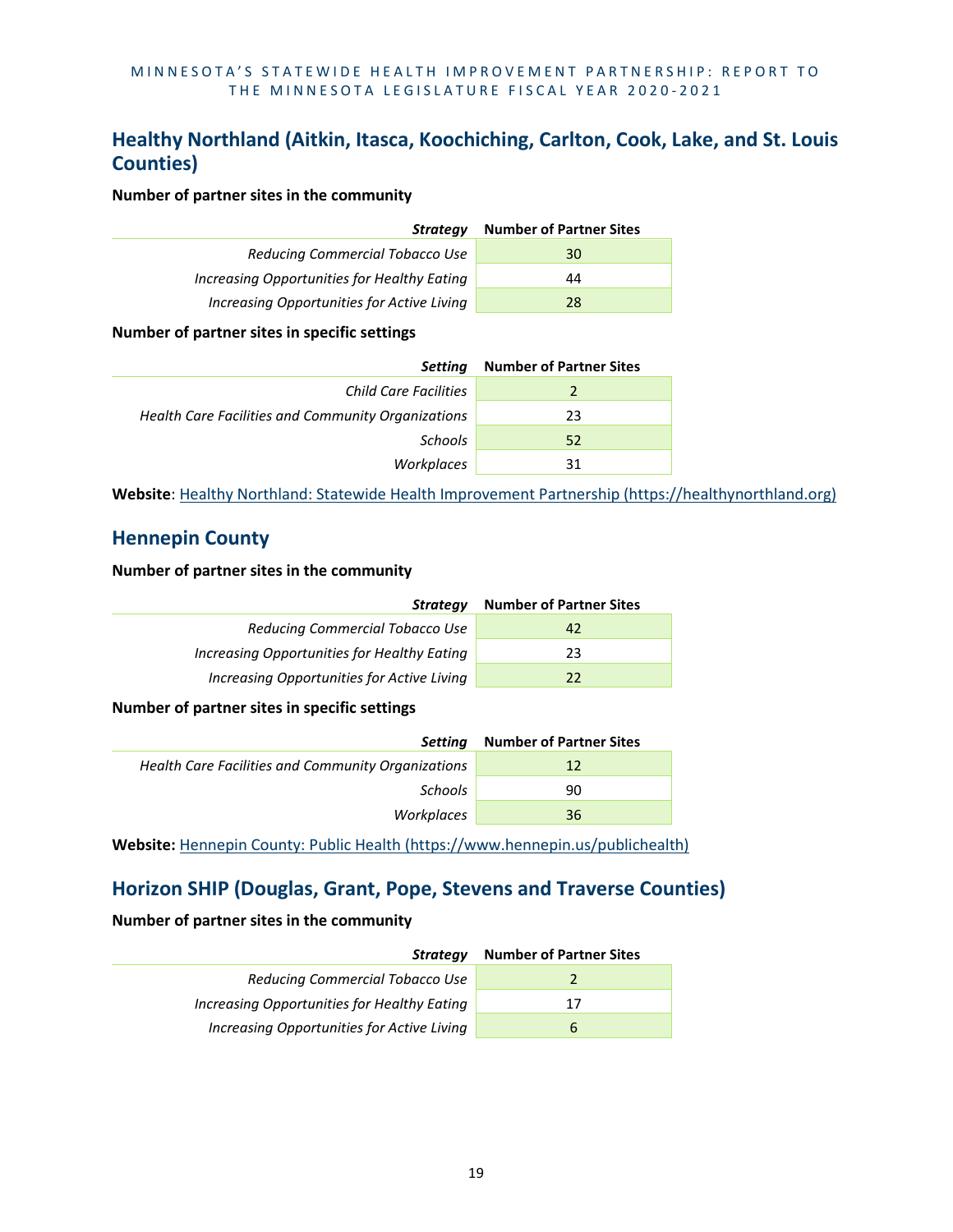# **Healthy Northland (Aitkin, Itasca, Koochiching, Carlton, Cook, Lake, and St. Louis Counties)**

#### **Number of partner sites in the community**

| Strategy                                    | <b>Number of Partner Sites</b> |
|---------------------------------------------|--------------------------------|
| Reducing Commercial Tobacco Use             | 30                             |
| Increasing Opportunities for Healthy Eating | 44                             |
| Increasing Opportunities for Active Living  | 28                             |
|                                             |                                |

#### **Number of partner sites in specific settings**

| <b>Setting</b>                                     | <b>Number of Partner Sites</b> |
|----------------------------------------------------|--------------------------------|
| Child Care Facilities                              |                                |
| Health Care Facilities and Community Organizations | 23                             |
| Schools                                            | 52                             |
| Workplaces                                         | 31                             |

**Website**: [Healthy Northland: Statewide Health Improvement Partnership \(https://healthynorthland.org\)](https://healthynorthland.org/)

## **Hennepin County**

#### **Number of partner sites in the community**

| Strategy                                    | <b>Number of Partner Sites</b> |
|---------------------------------------------|--------------------------------|
| Reducing Commercial Tobacco Use             | 42                             |
| Increasing Opportunities for Healthy Eating | 23                             |
| Increasing Opportunities for Active Living  | 22                             |

#### **Number of partner sites in specific settings**

| Settina                                            | <b>Number of Partner Sites</b> |
|----------------------------------------------------|--------------------------------|
| Health Care Facilities and Community Organizations | 12                             |
| <b>Schools</b>                                     | 90                             |
| Workplaces                                         | 36                             |
|                                                    |                                |

**Website:** [Hennepin County: Public Health \(https://www.hennepin.us/publichealth\)](https://www.hennepin.us/publichealth)

# **Horizon SHIP (Douglas, Grant, Pope, Stevens and Traverse Counties)**

| Strateav                                    | <b>Number of Partner Sites</b> |
|---------------------------------------------|--------------------------------|
| Reducing Commercial Tobacco Use             |                                |
| Increasing Opportunities for Healthy Eating | 17                             |
| Increasing Opportunities for Active Living  |                                |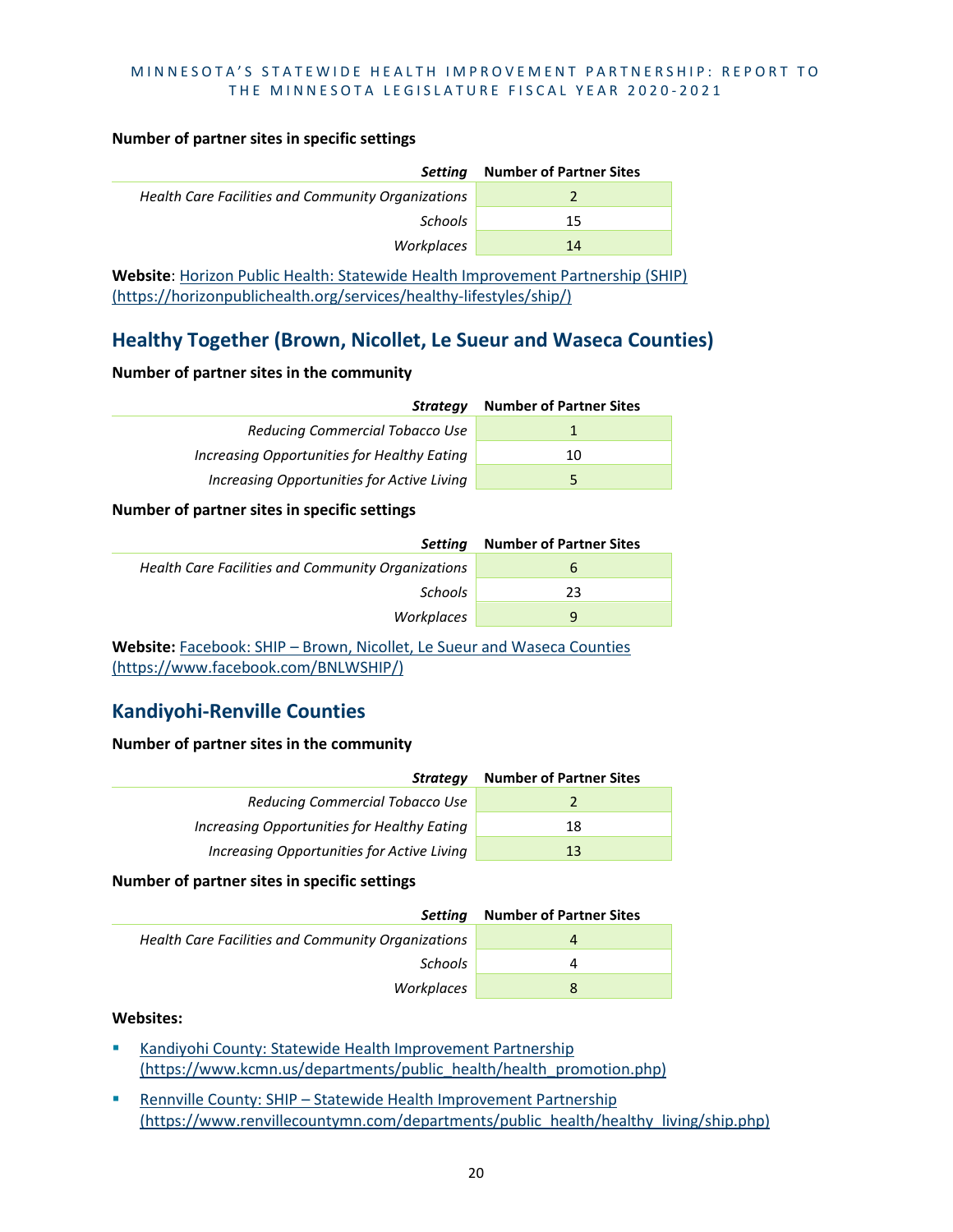#### **Number of partner sites in specific settings**

| Health Care Facilities and Community Organizations | <b>Setting</b> | <b>Number of Partner Sites</b> |
|----------------------------------------------------|----------------|--------------------------------|
|                                                    |                |                                |
| <b>Schools</b><br>15                               |                |                                |
| Workplaces<br>14                                   |                |                                |

**Website**: [Horizon Public Health: Statewide Health Improvement Partnership \(SHIP\)](https://horizonpublichealth.org/services/healthy-lifestyles/ship/)  [\(https://horizonpublichealth.org/services/healthy-lifestyles/ship/\)](https://horizonpublichealth.org/services/healthy-lifestyles/ship/)

# **Healthy Together (Brown, Nicollet, Le Sueur and Waseca Counties)**

#### **Number of partner sites in the community**

| <b>Strategy</b>                             | <b>Number of Partner Sites</b> |
|---------------------------------------------|--------------------------------|
| Reducing Commercial Tobacco Use             |                                |
| Increasing Opportunities for Healthy Eating | 10                             |
| Increasing Opportunities for Active Living  | 5                              |

#### **Number of partner sites in specific settings**

| Settina                                            | <b>Number of Partner Sites</b> |
|----------------------------------------------------|--------------------------------|
| Health Care Facilities and Community Organizations | b                              |
| Schools                                            | 23                             |
| Workplaces                                         | q                              |

**Website:** Facebook: SHIP – Brown, [Nicollet, Le Sueur and Waseca Counties](https://www.facebook.com/BNLWSHIP/)  [\(https://www.facebook.com/BNLWSHIP/\)](https://www.facebook.com/BNLWSHIP/)

# **Kandiyohi-Renville Counties**

#### **Number of partner sites in the community**

| Strategy                                    | <b>Number of Partner Sites</b> |
|---------------------------------------------|--------------------------------|
| Reducing Commercial Tobacco Use             |                                |
| Increasing Opportunities for Healthy Eating | 18                             |
| Increasing Opportunities for Active Living  | 13                             |

#### **Number of partner sites in specific settings**

| Settina                                            | <b>Number of Partner Sites</b> |
|----------------------------------------------------|--------------------------------|
| Health Care Facilities and Community Organizations |                                |
| Schools                                            |                                |
| Workplaces                                         | 8                              |

#### **Websites:**

- [Kandiyohi County: Statewide Health Improvement Partnership](https://www.kcmn.us/departments/public_health/health_promotion.php)  [\(https://www.kcmn.us/departments/public\\_health/health\\_promotion.php\)](https://www.kcmn.us/departments/public_health/health_promotion.php)
- **Rennville County: SHIP Statewide Health Improvement Partnership** [\(https://www.renvillecountymn.com/departments/public\\_health/healthy\\_living/ship.php\)](https://www.renvillecountymn.com/departments/public_health/healthy_living/ship.php)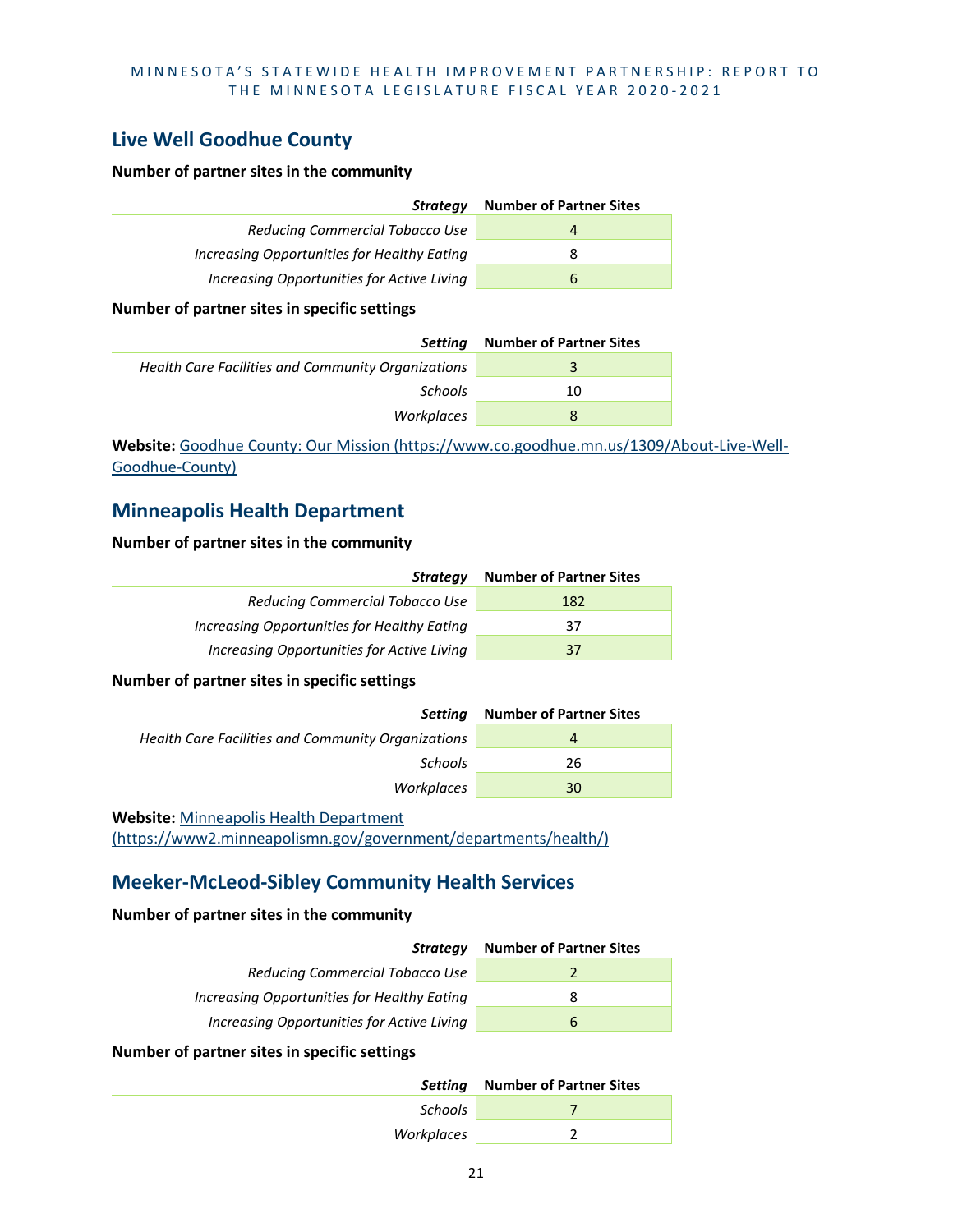# **Live Well Goodhue County**

#### **Number of partner sites in the community**

| Strategy                                    | <b>Number of Partner Sites</b> |
|---------------------------------------------|--------------------------------|
| Reducing Commercial Tobacco Use             | Δ                              |
| Increasing Opportunities for Healthy Eating | 8                              |
| Increasing Opportunities for Active Living  | 6                              |

#### **Number of partner sites in specific settings**

| Settina                                            | <b>Number of Partner Sites</b> |
|----------------------------------------------------|--------------------------------|
| Health Care Facilities and Community Organizations | 3                              |
| Schools                                            | 10                             |
| Workplaces                                         | 8                              |

**Website:** [Goodhue County: Our Mission \(https://www.co.goodhue.mn.us/1309/About-Live-Well-](https://www.co.goodhue.mn.us/1309/About-Live-Well-Goodhue-County)[Goodhue-County\)](https://www.co.goodhue.mn.us/1309/About-Live-Well-Goodhue-County)

## **Minneapolis Health Department**

#### **Number of partner sites in the community**

| Strategy                                    | <b>Number of Partner Sites</b> |
|---------------------------------------------|--------------------------------|
| Reducing Commercial Tobacco Use             | 182                            |
| Increasing Opportunities for Healthy Eating | 37                             |
| Increasing Opportunities for Active Living  | 37                             |

#### **Number of partner sites in specific settings**

| Settina                                            | <b>Number of Partner Sites</b> |
|----------------------------------------------------|--------------------------------|
| Health Care Facilities and Community Organizations | 4                              |
| <b>Schools</b>                                     | 26                             |
| Workplaces                                         | 30                             |
|                                                    |                                |

#### **Website:** [Minneapolis Health Department](https://www2.minneapolismn.gov/government/departments/health/)

[\(https://www2.minneapolismn.gov/government/departments/health/\)](https://www2.minneapolismn.gov/government/departments/health/)

# **Meeker-McLeod-Sibley Community Health Services**

#### **Number of partner sites in the community**

| Strategy                                    | <b>Number of Partner Sites</b> |
|---------------------------------------------|--------------------------------|
| Reducing Commercial Tobacco Use             |                                |
| Increasing Opportunities for Healthy Eating | 8                              |
| Increasing Opportunities for Active Living  | h                              |
|                                             |                                |

#### **Number of partner sites in specific settings**

|            | Setting Number of Partner Sites |
|------------|---------------------------------|
| Schools    |                                 |
| Workplaces |                                 |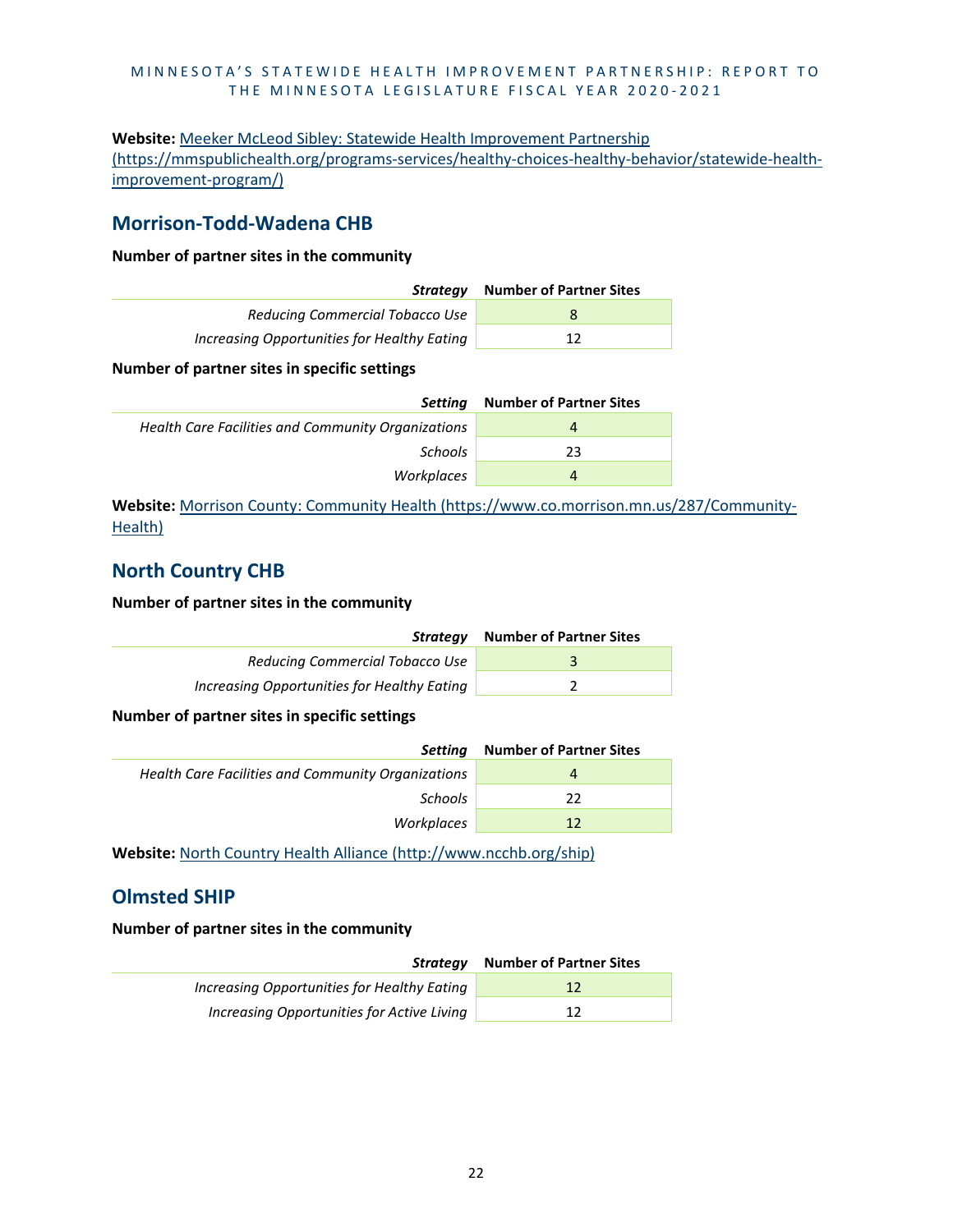### **Website:** [Meeker McLeod Sibley: Statewide Health Improvement Partnership](https://mmspublichealth.org/programs-services/healthy-choices-healthy-behavior/statewide-health-improvement-program/)  [\(https://mmspublichealth.org/programs-services/healthy-choices-healthy-behavior/statewide-health](https://mmspublichealth.org/programs-services/healthy-choices-healthy-behavior/statewide-health-improvement-program/)[improvement-program/\)](https://mmspublichealth.org/programs-services/healthy-choices-healthy-behavior/statewide-health-improvement-program/)

### **Morrison-Todd-Wadena CHB**

#### **Number of partner sites in the community**

| Strateav                                    | <b>Number of Partner Sites</b> |
|---------------------------------------------|--------------------------------|
| Reducing Commercial Tobacco Use             | 8                              |
| Increasing Opportunities for Healthy Eating | 12                             |

#### **Number of partner sites in specific settings**

| Settina                                            | <b>Number of Partner Sites</b> |
|----------------------------------------------------|--------------------------------|
| Health Care Facilities and Community Organizations | 4                              |
| <b>Schools</b>                                     | 23                             |
| Workplaces                                         | 4                              |

**Website:** [Morrison County: Community Health \(https://www.co.morrison.mn.us/287/Community-](https://www.co.morrison.mn.us/287/Community-Health)[Health\)](https://www.co.morrison.mn.us/287/Community-Health)

# **North Country CHB**

#### **Number of partner sites in the community**

| Strateav                                    | <b>Number of Partner Sites</b> |
|---------------------------------------------|--------------------------------|
| Reducing Commercial Tobacco Use             |                                |
| Increasing Opportunities for Healthy Eating |                                |

#### **Number of partner sites in specific settings**

| Setting                                            | <b>Number of Partner Sites</b> |
|----------------------------------------------------|--------------------------------|
| Health Care Facilities and Community Organizations | 4                              |
| Schools                                            | 22                             |
| Workplaces                                         | 12                             |
|                                                    |                                |

**Website:** [North Country Health Alliance \(http://www.ncchb.org/ship\)](http://www.ncchb.org/ship)

### **Olmsted SHIP**

| Strateav                                    | <b>Number of Partner Sites</b> |
|---------------------------------------------|--------------------------------|
| Increasing Opportunities for Healthy Eating | 12                             |
| Increasing Opportunities for Active Living  | 12                             |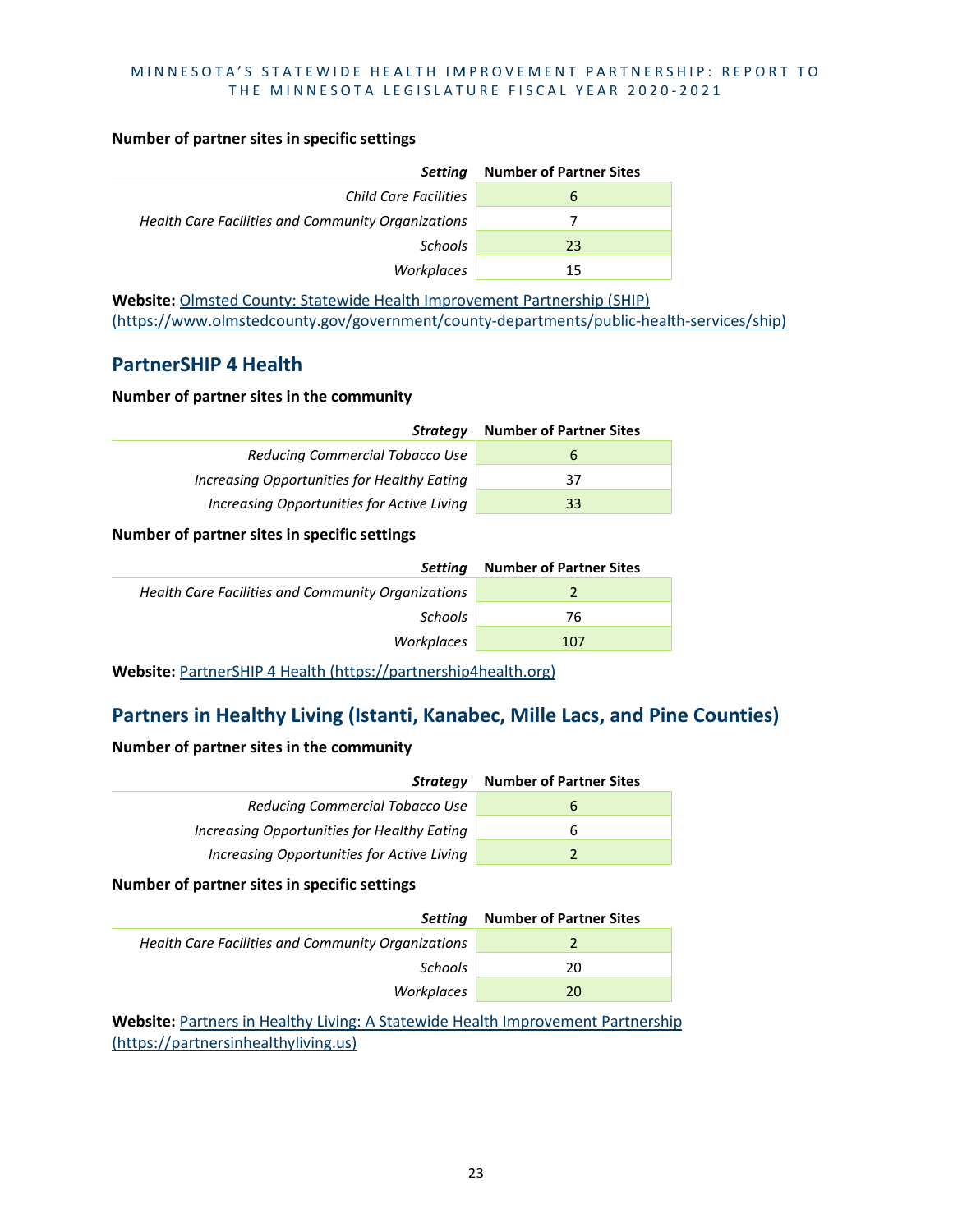#### **Number of partner sites in specific settings**

| <b>Setting</b>                                     | <b>Number of Partner Sites</b> |
|----------------------------------------------------|--------------------------------|
| Child Care Facilities                              | b                              |
| Health Care Facilities and Community Organizations |                                |
| Schools                                            | 23                             |
| Workplaces                                         | 15                             |

**Website:** [Olmsted County: Statewide Health Improvement Partnership \(SHIP\)](https://www.olmstedcounty.gov/government/county-departments/public-health-services/ship)  [\(https://www.olmstedcounty.gov/government/county-departments/public-health-services/ship\)](https://www.olmstedcounty.gov/government/county-departments/public-health-services/ship)

### **PartnerSHIP 4 Health**

#### **Number of partner sites in the community**

| <b>Strategy</b>                             | <b>Number of Partner Sites</b> |
|---------------------------------------------|--------------------------------|
| <b>Reducing Commercial Tobacco Use</b>      | b                              |
| Increasing Opportunities for Healthy Eating | 37                             |
| Increasing Opportunities for Active Living  | 33                             |

#### **Number of partner sites in specific settings**

| Settina                                            | <b>Number of Partner Sites</b> |
|----------------------------------------------------|--------------------------------|
| Health Care Facilities and Community Organizations |                                |
| Schools                                            | 76                             |
| Workplaces                                         | 107                            |

**Website:** [PartnerSHIP 4 Health \(https://partnership4health.org\)](https://partnership4health.org/)

# **Partners in Healthy Living (Istanti, Kanabec, Mille Lacs, and Pine Counties)**

#### **Number of partner sites in the community**

| Strategy                                    | <b>Number of Partner Sites</b> |
|---------------------------------------------|--------------------------------|
| Reducing Commercial Tobacco Use             | $\mathsf{h}$                   |
| Increasing Opportunities for Healthy Eating | h                              |
| Increasing Opportunities for Active Living  |                                |

**Number of partner sites in specific settings**

| Settina                                            | <b>Number of Partner Sites</b> |
|----------------------------------------------------|--------------------------------|
| Health Care Facilities and Community Organizations |                                |
| <b>Schools</b>                                     | 20                             |
| Workplaces                                         | 20                             |
|                                                    |                                |

**Website:** Partners [in Healthy Living: A Statewide Health Improvement Partnership](https://partnersinhealthyliving.us/)  [\(https://partnersinhealthyliving.us\)](https://partnersinhealthyliving.us/)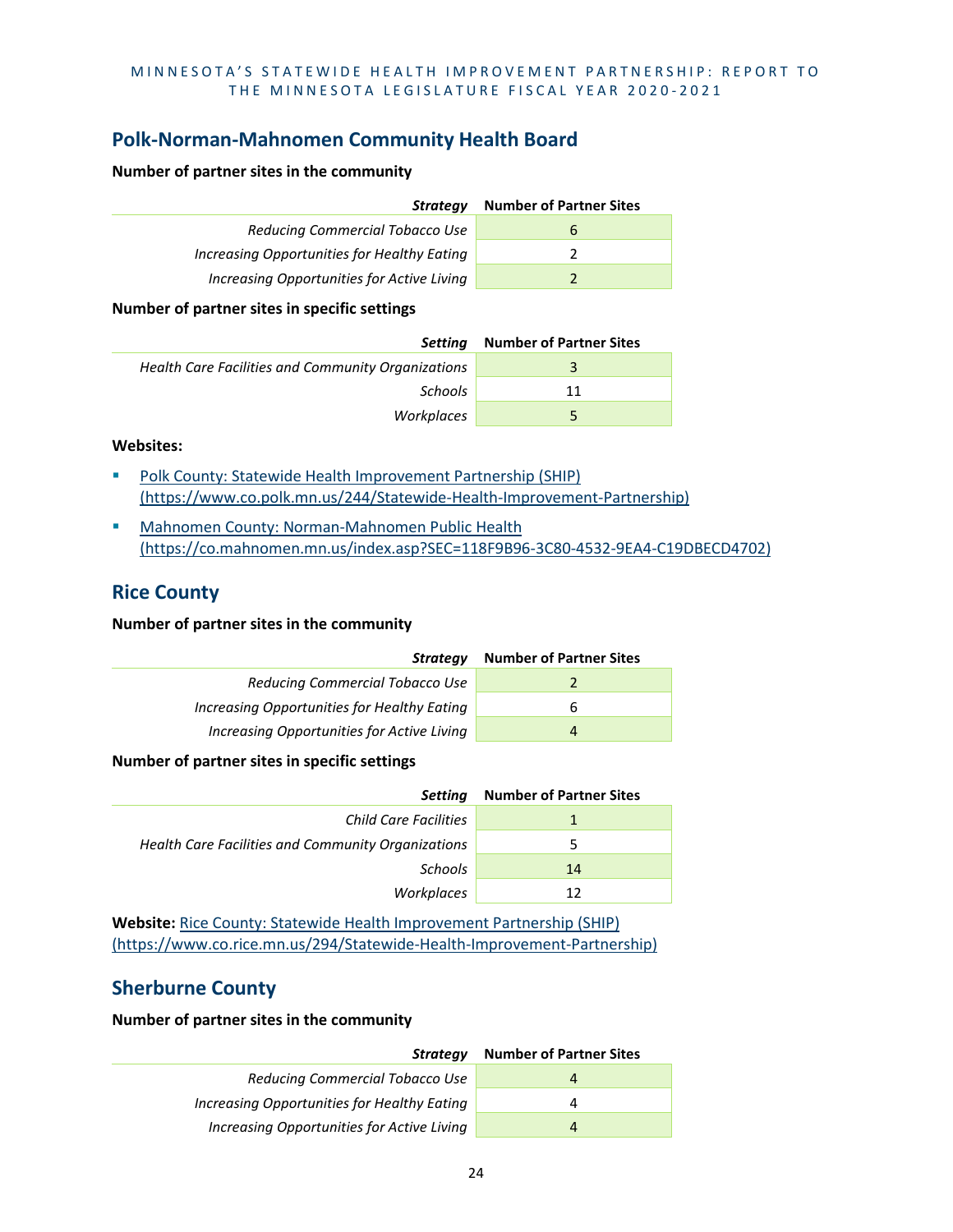# **Polk-Norman-Mahnomen Community Health Board**

#### **Number of partner sites in the community**

| Strategy                                    | <b>Number of Partner Sites</b> |
|---------------------------------------------|--------------------------------|
| Reducing Commercial Tobacco Use             | b                              |
| Increasing Opportunities for Healthy Eating |                                |
| Increasing Opportunities for Active Living  |                                |

#### **Number of partner sites in specific settings**

| Settina                                            | <b>Number of Partner Sites</b> |
|----------------------------------------------------|--------------------------------|
| Health Care Facilities and Community Organizations |                                |
| <b>Schools</b>                                     | 11                             |
| Workplaces                                         | b.                             |

#### **Websites:**

- [Polk County: Statewide Health Improvement Partnership \(SHIP\)](https://www.co.polk.mn.us/244/Statewide-Health-Improvement-Partnership)  [\(https://www.co.polk.mn.us/244/Statewide-Health-Improvement-Partnership\)](https://www.co.polk.mn.us/244/Statewide-Health-Improvement-Partnership)
- **Mahnomen County: Norman-Mahnomen Public Health** [\(https://co.mahnomen.mn.us/index.asp?SEC=118F9B96-3C80-4532-9EA4-C19DBECD4702\)](https://co.mahnomen.mn.us/index.asp?SEC=118F9B96-3C80-4532-9EA4-C19DBECD4702)

#### **Rice County**

#### **Number of partner sites in the community**

| Strategy                                    | <b>Number of Partner Sites</b> |
|---------------------------------------------|--------------------------------|
| Reducing Commercial Tobacco Use             |                                |
| Increasing Opportunities for Healthy Eating | b                              |
| Increasing Opportunities for Active Living  | 4                              |
|                                             |                                |

#### **Number of partner sites in specific settings**

| <b>Setting</b>                                     | <b>Number of Partner Sites</b> |
|----------------------------------------------------|--------------------------------|
| Child Care Facilities                              |                                |
| Health Care Facilities and Community Organizations | 5                              |
| <b>Schools</b>                                     | 14                             |
| Workplaces                                         | 12                             |

**Website:** [Rice County: Statewide Health Improvement Partnership \(SHIP\)](https://www.co.rice.mn.us/294/Statewide-Health-Improvement-Partnership)  [\(https://www.co.rice.mn.us/294/Statewide-Health-Improvement-Partnership\)](https://www.co.rice.mn.us/294/Statewide-Health-Improvement-Partnership)

# **Sherburne County**

| Strategy                                    | <b>Number of Partner Sites</b> |
|---------------------------------------------|--------------------------------|
| Reducing Commercial Tobacco Use             | 4                              |
| Increasing Opportunities for Healthy Eating | 4                              |
| Increasing Opportunities for Active Living  | 4                              |
|                                             |                                |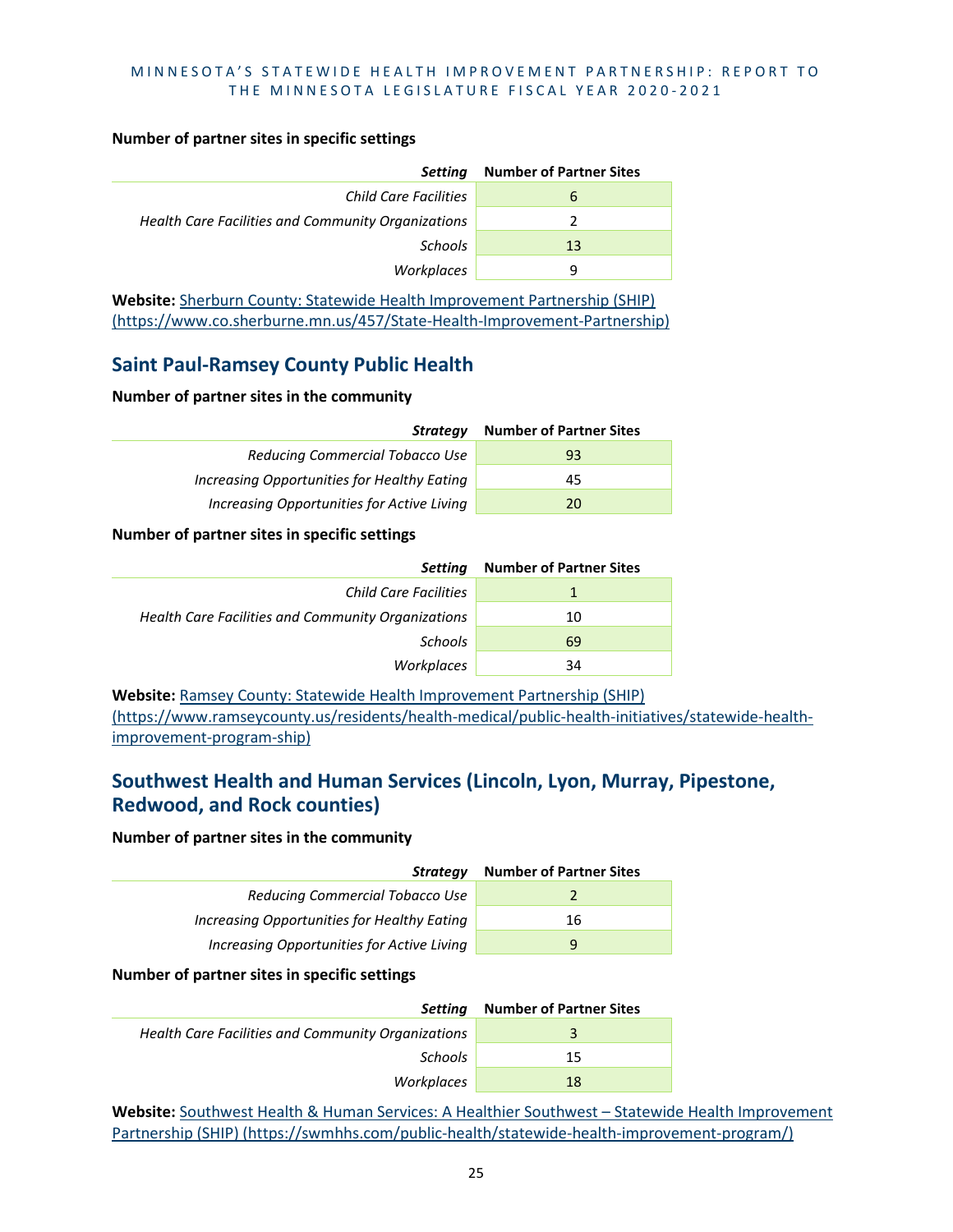#### **Number of partner sites in specific settings**

| <b>Setting</b>                                     | <b>Number of Partner Sites</b> |
|----------------------------------------------------|--------------------------------|
| <b>Child Care Facilities</b>                       | ь                              |
| Health Care Facilities and Community Organizations |                                |
| Schools                                            | 13                             |
| Workplaces                                         | q                              |

**Website:** [Sherburn County: Statewide Health Improvement Partnership \(SHIP\)](https://www.co.sherburne.mn.us/457/State-Health-Improvement-Partnership)  [\(https://www.co.sherburne.mn.us/457/State-Health-Improvement-Partnership\)](https://www.co.sherburne.mn.us/457/State-Health-Improvement-Partnership)

# **Saint Paul-Ramsey County Public Health**

#### **Number of partner sites in the community**

| Strateav                                    | <b>Number of Partner Sites</b> |
|---------------------------------------------|--------------------------------|
| Reducing Commercial Tobacco Use             | 93                             |
| Increasing Opportunities for Healthy Eating | 45                             |
| Increasing Opportunities for Active Living  | 20                             |

#### **Number of partner sites in specific settings**

| <b>Setting</b>                                     | <b>Number of Partner Sites</b> |
|----------------------------------------------------|--------------------------------|
| Child Care Facilities                              |                                |
| Health Care Facilities and Community Organizations | 10                             |
| Schools                                            | 69                             |
| Workplaces                                         | 34                             |

**Website:** [Ramsey County: Statewide Health Improvement Partnership \(SHIP\)](https://www.ramseycounty.us/residents/health-medical/public-health-initiatives/statewide-health-improvement-program-ship)  [\(https://www.ramseycounty.us/residents/health-medical/public-health-initiatives/statewide-health](https://www.ramseycounty.us/residents/health-medical/public-health-initiatives/statewide-health-improvement-program-ship)[improvement-program-ship\)](https://www.ramseycounty.us/residents/health-medical/public-health-initiatives/statewide-health-improvement-program-ship)

# **Southwest Health and Human Services (Lincoln, Lyon, Murray, Pipestone, Redwood, and Rock counties)**

#### **Number of partner sites in the community**

| Strategy                                    | <b>Number of Partner Sites</b> |
|---------------------------------------------|--------------------------------|
| Reducing Commercial Tobacco Use             |                                |
| Increasing Opportunities for Healthy Eating | 16                             |
| Increasing Opportunities for Active Living  | q                              |

#### **Number of partner sites in specific settings**

| Settina                                            | <b>Number of Partner Sites</b> |
|----------------------------------------------------|--------------------------------|
| Health Care Facilities and Community Organizations | 3                              |
| <b>Schools</b>                                     | 15                             |
| Workplaces                                         | 18                             |

**Website:** [Southwest Health & Human Services: A Healthier Southwest – Statewide Health Improvement](https://swmhhs.com/public-health/statewide-health-improvement-program/)  [Partnership \(SHIP\) \(https://swmhhs.com/public-health/statewide-health-improvement-program/\)](https://swmhhs.com/public-health/statewide-health-improvement-program/)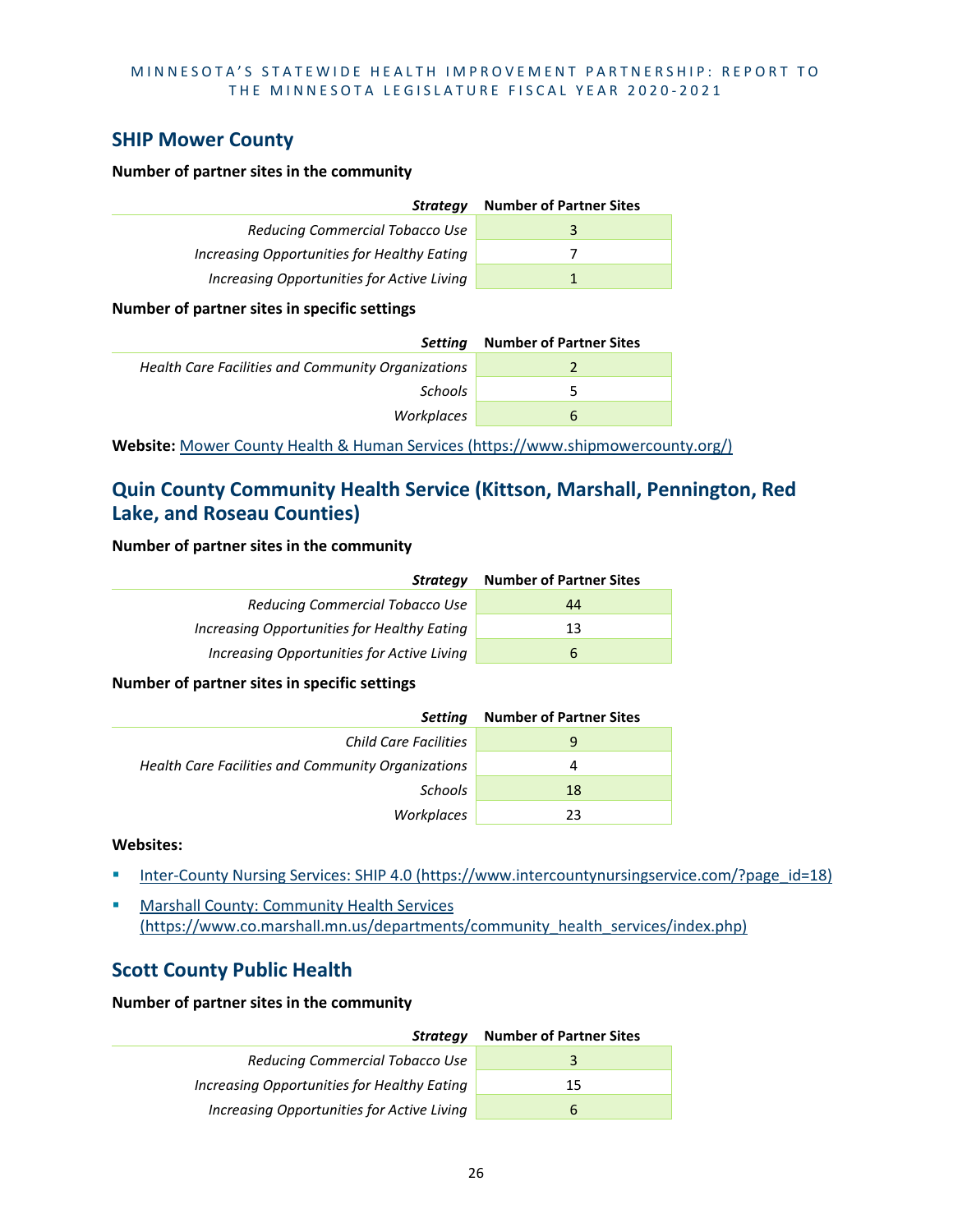## **SHIP Mower County**

#### **Number of partner sites in the community**

| Strategy                                    | <b>Number of Partner Sites</b> |
|---------------------------------------------|--------------------------------|
| Reducing Commercial Tobacco Use             |                                |
| Increasing Opportunities for Healthy Eating |                                |
| Increasing Opportunities for Active Living  |                                |

#### **Number of partner sites in specific settings**

| Settina                                            | <b>Number of Partner Sites</b> |
|----------------------------------------------------|--------------------------------|
| Health Care Facilities and Community Organizations |                                |
| <b>Schools</b>                                     | ∽                              |
| Workplaces                                         | b                              |

**Website:** [Mower County Health & Human Services \(https://www.shipmowercounty.org/\)](https://www.shipmowercounty.org/)

# **Quin County Community Health Service (Kittson, Marshall, Pennington, Red Lake, and Roseau Counties)**

#### **Number of partner sites in the community**

| Strategy                                    | <b>Number of Partner Sites</b> |
|---------------------------------------------|--------------------------------|
| Reducing Commercial Tobacco Use             | 44                             |
| Increasing Opportunities for Healthy Eating | 13                             |
| Increasing Opportunities for Active Living  | b                              |

#### **Number of partner sites in specific settings**

| Setting                                            | <b>Number of Partner Sites</b> |
|----------------------------------------------------|--------------------------------|
| Child Care Facilities                              | 9                              |
| Health Care Facilities and Community Organizations | 4                              |
| Schools                                            | 18                             |
| Workplaces                                         | 23                             |

#### **Websites:**

- [Inter-County Nursing Services: SHIP 4.0 \(https://www.intercountynursingservice.com/?page\\_id=18\)](https://www.intercountynursingservice.com/?page_id=18)
- **Marshall County: Community Health Services** [\(https://www.co.marshall.mn.us/departments/community\\_health\\_services/index.php\)](https://www.co.marshall.mn.us/departments/community_health_services/index.php)

### **Scott County Public Health**

| <b>Strategy</b>                             | <b>Number of Partner Sites</b> |
|---------------------------------------------|--------------------------------|
| Reducing Commercial Tobacco Use             |                                |
| Increasing Opportunities for Healthy Eating | 15                             |
| Increasing Opportunities for Active Living  |                                |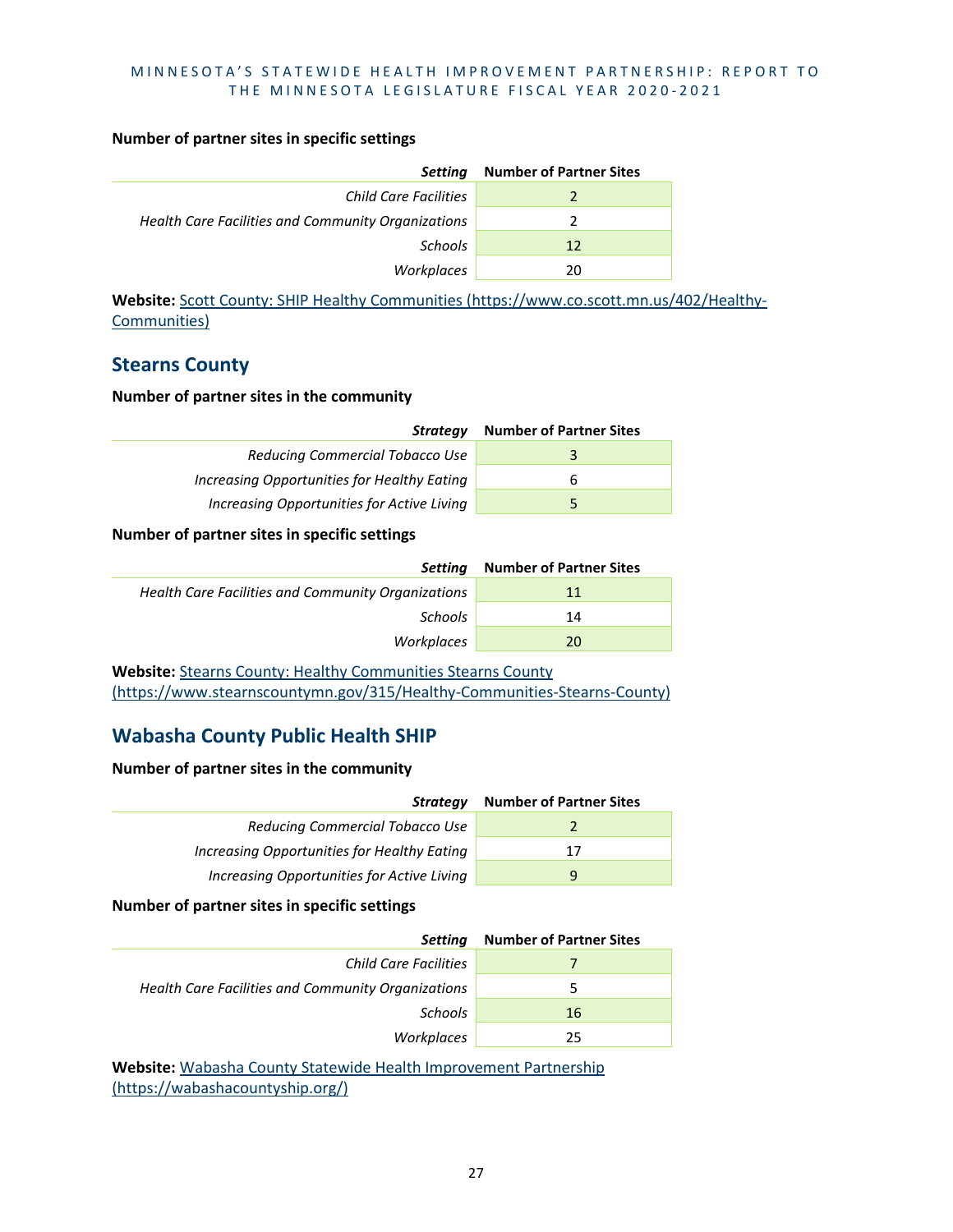#### **Number of partner sites in specific settings**

| <b>Setting</b>                                     | <b>Number of Partner Sites</b> |
|----------------------------------------------------|--------------------------------|
| <b>Child Care Facilities</b>                       |                                |
| Health Care Facilities and Community Organizations |                                |
| <b>Schools</b>                                     | 12                             |
| Workplaces                                         | 20                             |

**Website:** [Scott County: SHIP Healthy Communities \(https://www.co.scott.mn.us/402/Healthy-](https://www.co.scott.mn.us/402/Healthy-Communities)[Communities\)](https://www.co.scott.mn.us/402/Healthy-Communities)

## **Stearns County**

#### **Number of partner sites in the community**

| Strateav                                    | <b>Number of Partner Sites</b> |
|---------------------------------------------|--------------------------------|
| Reducing Commercial Tobacco Use             |                                |
| Increasing Opportunities for Healthy Eating |                                |
| Increasing Opportunities for Active Living  |                                |

#### **Number of partner sites in specific settings**

| Settina                                            | <b>Number of Partner Sites</b> |
|----------------------------------------------------|--------------------------------|
| Health Care Facilities and Community Organizations | 11                             |
| Schools                                            | 14                             |
| Workplaces                                         | 20                             |

Website: Stearns County: Healthy Communities Stearns County [\(https://www.stearnscountymn.gov/315/Healthy-Communities-Stearns-County\)](https://www.stearnscountymn.gov/315/Healthy-Communities-Stearns-County)

# **Wabasha County Public Health SHIP**

#### **Number of partner sites in the community**

| Strategy                                    | <b>Number of Partner Sites</b> |
|---------------------------------------------|--------------------------------|
| Reducing Commercial Tobacco Use             |                                |
| Increasing Opportunities for Healthy Eating | 17                             |
| Increasing Opportunities for Active Living  |                                |

#### **Number of partner sites in specific settings**

| <b>Setting</b>                                     | <b>Number of Partner Sites</b> |
|----------------------------------------------------|--------------------------------|
| <b>Child Care Facilities</b>                       |                                |
| Health Care Facilities and Community Organizations | 5                              |
| <b>Schools</b>                                     | 16                             |
| Workplaces                                         | 25                             |

**Website:** [Wabasha County Statewide Health Improvement Partnership](https://wabashacountyship.org/)  [\(https://wabashacountyship.org/\)](https://wabashacountyship.org/)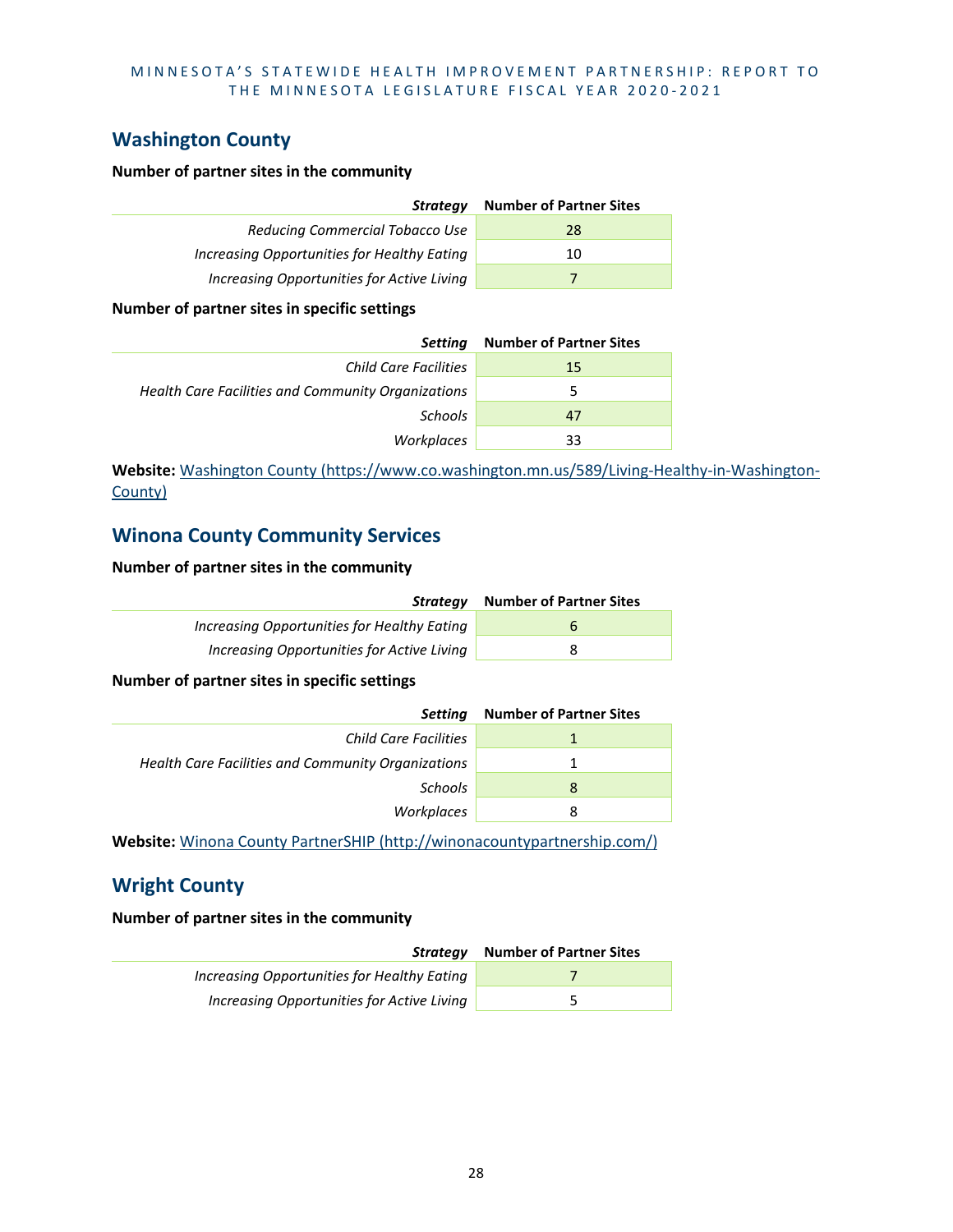# **Washington County**

#### **Number of partner sites in the community**

| Strateav                                    | <b>Number of Partner Sites</b> |
|---------------------------------------------|--------------------------------|
| Reducing Commercial Tobacco Use             | 28                             |
| Increasing Opportunities for Healthy Eating | 10                             |
| Increasing Opportunities for Active Living  |                                |

#### **Number of partner sites in specific settings**

| Setting                                            | <b>Number of Partner Sites</b> |
|----------------------------------------------------|--------------------------------|
| <b>Child Care Facilities</b>                       | 15                             |
| Health Care Facilities and Community Organizations | 5                              |
| Schools                                            | 47                             |
| Workplaces                                         | 33                             |

**Website:** [Washington County \(https://www.co.washington.mn.us/589/Living-Healthy-in-Washington-](https://www.co.washington.mn.us/589/Living-Healthy-in-Washington-County)[County\)](https://www.co.washington.mn.us/589/Living-Healthy-in-Washington-County)

# **Winona County Community Services**

#### **Number of partner sites in the community**

| Strateav                                    | <b>Number of Partner Sites</b> |
|---------------------------------------------|--------------------------------|
| Increasing Opportunities for Healthy Eating | h                              |
| Increasing Opportunities for Active Living  | x                              |

**Number of partner sites in specific settings**

| <b>Setting</b>                                     | <b>Number of Partner Sites</b> |
|----------------------------------------------------|--------------------------------|
| <b>Child Care Facilities</b>                       |                                |
| Health Care Facilities and Community Organizations |                                |
| Schools                                            | 8                              |
| Workplaces                                         | 8                              |
|                                                    |                                |

**Website:** [Winona County PartnerSHIP \(http://winonacountypartnership.com/\)](http://winonacountypartnership.com/)

# **Wright County**

| Strateav                                    | <b>Number of Partner Sites</b> |
|---------------------------------------------|--------------------------------|
| Increasing Opportunities for Healthy Eating |                                |
| Increasing Opportunities for Active Living  |                                |